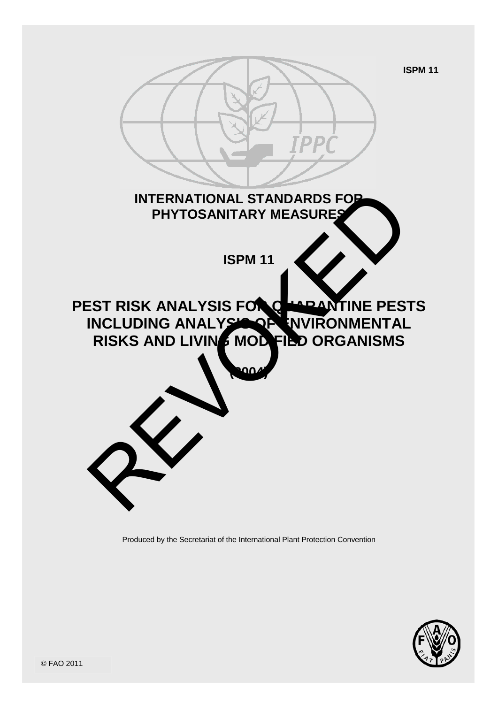**ISPM 11**



Produced by the Secretariat of the International Plant Protection Con vention

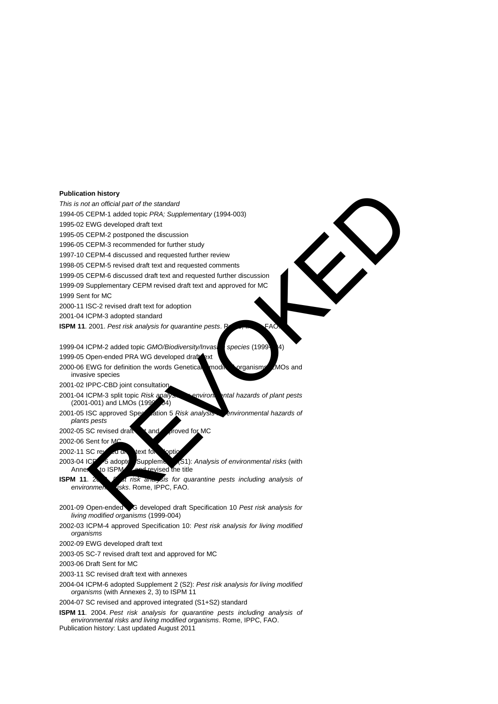#### **Publication history**

*This is not an official part of the standard*

1994-05 CEPM-1 added topic *PRA; Supplementary* (1994-003)

1995-02 EWG developed draft text

1995-05 CEPM-2 postponed the discussion

1996-05 CEPM-3 recommended for further study

1997-10 CEPM-4 discussed and requested further review

1998-05 CEPM-5 revised draft text and requested comments

1999-05 CEPM-6 discussed draft text and requested further discussion 1999-09 Supplementary CEPM revised draft text and approved for MC

1999 Sent for MC

2000-11 ISC-2 revised draft text for adoption

2001-04 ICPM-3 adopted standard

**ISPM 11.** 2001. Pest risk analysis for quarantine pests. R

1999-04 ICPM-2 added topic *GMO/Biodiversity/Invasive species* (1999-

1999-05 Open-ended PRA WG developed draft ext

2000-06 EWG for definition the words Genetical modified organisms, LMOs and invasive species

2001-02 IPPC-CBD joint consultation

2001-04 ICPM-3 split topic *Risk analysis for environmental hazards of plant pests* (2001-001) and LMOs (1999-004)

2001-05 ISC approved Specification 5 *Risk analysis* environmental hazards of *plants pests*

2002-05 SC revised draft tand proved for MC

2002-06 Sent for M

 $2002-11$  SC revised or  $\alpha$  text for a looting

2003-04 ICP<sup>M-5</sup> adopted Supplement 1(S1): *Analysis of environmental risks* (with Annex 1(o ISPM<sup>-1</sup> and revised the title revised the title

**ISPM 11. 2003.** *Pet risk and sis for quarantine pests including analysis of environment risks.* Rome, IPPC, FAO. *environmental risks*. Rome, IPPC, FAO. on history<br>
are official part of the standard<br>
EVEPM-1 added topic PRA, Supplementary (1994-003)<br>
EVC developed draft text and requested turbitive<br>
CEPM-3 recommended for further study<br>
CEPM-3 recommended for further study

- 2001-09 Open-ended WG developed draft Specification 10 *Pest risk analysis for living modified organisms* (1999-004)
- 2002-03 ICPM-4 approved Specification 10: *Pest risk analysis for living modified organisms*

2002-09 EWG developed draft text

2003-05 SC-7 revised draft text and approved for MC

2003-06 Draft Sent for MC

- 2003-11 SC revised draft text with annexes
- 2004-04 ICPM-6 adopted Supplement 2 (S2): *Pest risk analysis for living modified organisms* (with Annexes 2, 3) to ISPM 11

2004-07 SC revised and approved integrated (S1+S2) standard

**ISPM 11**. 2004. *Pest risk analysis for quarantine pests including analysis of environmental risks and living modified organisms*. Rome, IPPC, FAO.

Publication history: Last updated August 2011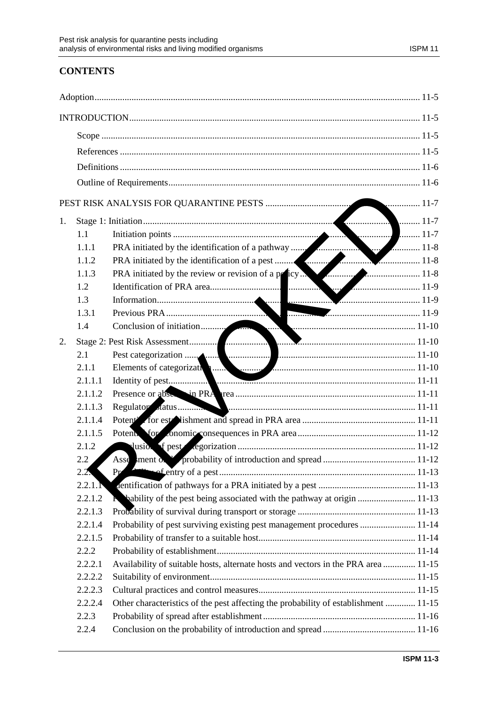# **CONTENTS**

| 1. |         |                                                                                                                                                                          |  |  |  |  |
|----|---------|--------------------------------------------------------------------------------------------------------------------------------------------------------------------------|--|--|--|--|
|    | 1.1     |                                                                                                                                                                          |  |  |  |  |
|    | 1.1.1   |                                                                                                                                                                          |  |  |  |  |
|    | 1.1.2   |                                                                                                                                                                          |  |  |  |  |
|    | 1.1.3   | PRA initiated by the review or revision of a policy                                                                                                                      |  |  |  |  |
|    | 1.2     |                                                                                                                                                                          |  |  |  |  |
|    | 1.3     |                                                                                                                                                                          |  |  |  |  |
|    | 1.3.1   |                                                                                                                                                                          |  |  |  |  |
|    | 1.4     |                                                                                                                                                                          |  |  |  |  |
| 2. |         |                                                                                                                                                                          |  |  |  |  |
|    | 2.1     |                                                                                                                                                                          |  |  |  |  |
|    | 2.1.1   |                                                                                                                                                                          |  |  |  |  |
|    | 2.1.1.1 | Elements of categorization and the contract of pest and the set of pest and the set of pest and the set of pest and the set of pest and the set of perfection of $11-11$ |  |  |  |  |
|    | 2.1.1.2 |                                                                                                                                                                          |  |  |  |  |
|    | 2.1.1.3 |                                                                                                                                                                          |  |  |  |  |
|    | 2.1.1.4 |                                                                                                                                                                          |  |  |  |  |
|    | 2.1.1.5 |                                                                                                                                                                          |  |  |  |  |
|    | 2.1.2   |                                                                                                                                                                          |  |  |  |  |
|    | 2.2     |                                                                                                                                                                          |  |  |  |  |
|    | 2.2.    | Pr                                                                                                                                                                       |  |  |  |  |
|    | 2.2.1.1 |                                                                                                                                                                          |  |  |  |  |
|    | 2.2.1.2 | No bability of the pest being associated with the pathway at origin  11-13                                                                                               |  |  |  |  |
|    | 2.2.1.3 |                                                                                                                                                                          |  |  |  |  |
|    | 2.2.1.4 | Probability of pest surviving existing pest management procedures  11-14                                                                                                 |  |  |  |  |
|    | 2.2.1.5 |                                                                                                                                                                          |  |  |  |  |
|    | 2.2.2   |                                                                                                                                                                          |  |  |  |  |
|    | 2.2.2.1 | Availability of suitable hosts, alternate hosts and vectors in the PRA area  11-15                                                                                       |  |  |  |  |
|    | 2.2.2.2 |                                                                                                                                                                          |  |  |  |  |
|    | 2.2.2.3 |                                                                                                                                                                          |  |  |  |  |
|    | 2.2.2.4 | Other characteristics of the pest affecting the probability of establishment  11-15                                                                                      |  |  |  |  |
|    | 2.2.3   |                                                                                                                                                                          |  |  |  |  |
|    | 2.2.4   |                                                                                                                                                                          |  |  |  |  |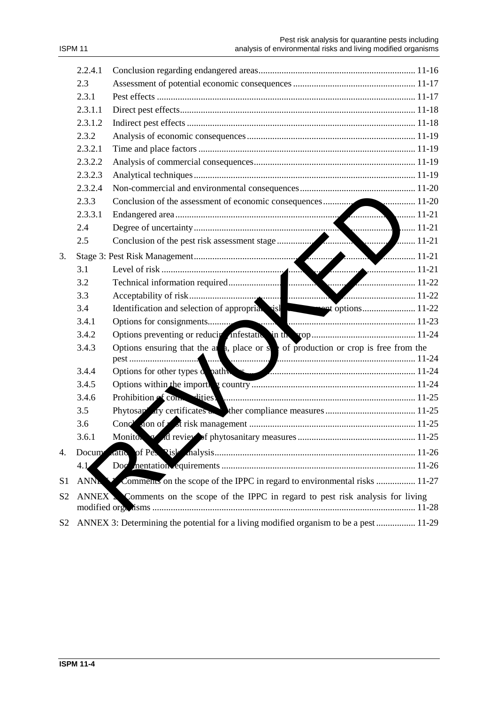| SPM. |  |  |
|------|--|--|
|------|--|--|

|                | 2.2.4.1 |                                                                                                                                                                                                                               |
|----------------|---------|-------------------------------------------------------------------------------------------------------------------------------------------------------------------------------------------------------------------------------|
|                | 2.3     |                                                                                                                                                                                                                               |
|                | 2.3.1   |                                                                                                                                                                                                                               |
|                | 2.3.1.1 |                                                                                                                                                                                                                               |
|                | 2.3.1.2 |                                                                                                                                                                                                                               |
|                | 2.3.2   |                                                                                                                                                                                                                               |
|                | 2.3.2.1 |                                                                                                                                                                                                                               |
|                | 2.3.2.2 |                                                                                                                                                                                                                               |
|                | 2.3.2.3 |                                                                                                                                                                                                                               |
|                | 2.3.2.4 |                                                                                                                                                                                                                               |
|                | 2.3.3   |                                                                                                                                                                                                                               |
|                | 2.3.3.1 |                                                                                                                                                                                                                               |
|                | 2.4     |                                                                                                                                                                                                                               |
|                | 2.5     |                                                                                                                                                                                                                               |
| 3.             |         |                                                                                                                                                                                                                               |
|                |         |                                                                                                                                                                                                                               |
|                |         |                                                                                                                                                                                                                               |
|                | 3.3     |                                                                                                                                                                                                                               |
|                | 3.4     |                                                                                                                                                                                                                               |
|                | 3.4.1   |                                                                                                                                                                                                                               |
|                | 3.4.2   |                                                                                                                                                                                                                               |
|                | 3.4.3   | Options ensuring that the all a, place or $s$ of production or crop is free from the                                                                                                                                          |
|                |         |                                                                                                                                                                                                                               |
|                | 3.4.4   |                                                                                                                                                                                                                               |
|                | 3.4.5   |                                                                                                                                                                                                                               |
|                | 3.4.6   | Prohibition of computities. Manual contract of the state of computation of computition of computation of computation of computation of computation of computation of computation of computation of computation of computation |
|                | 3.5     |                                                                                                                                                                                                                               |
|                | 3.6     |                                                                                                                                                                                                                               |
|                | 3.6.1   |                                                                                                                                                                                                                               |
| 4.             | Docum   |                                                                                                                                                                                                                               |
|                | 4.1     |                                                                                                                                                                                                                               |
| S <sub>1</sub> | ANNA X  | Comments on the scope of the IPPC in regard to environmental risks  11-27                                                                                                                                                     |
| S <sub>2</sub> |         | ANNEX Comments on the scope of the IPPC in regard to pest risk analysis for living                                                                                                                                            |
| S2             |         | ANNEX 3: Determining the potential for a living modified organism to be a pest  11-29                                                                                                                                         |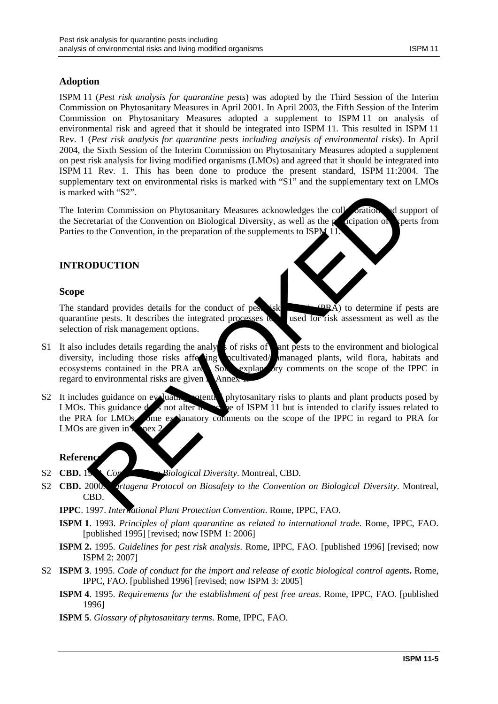## **Adoption**

ISPM 11 (*Pest risk analysis for quarantine pests*) was adopted by the Third Session of the Interim Commission on Phytosanitary Measures in April 2001. In April 2003, the Fifth Session of the Interim Commission on Phytosanitary Measures adopted a supplement to ISPM 11 on analysis of environmental risk and agreed that it should be integrated into ISPM 11. This resulted in ISPM 11 Rev. 1 (*Pest risk analysis for quarantine pests including analysis of environmental risks*). In April 2004, the Sixth Session of the Interim Commission on Phytosanitary Measures adopted a supplement on pest risk analysis for living modified organisms (LMOs) and agreed that it should be integrated into ISPM 11 Rev. 1. This has been done to produce the present standard, ISPM 11:2004. The supplementary text on environmental risks is marked with "S1" and the supplementary text on LMOs is marked with "S2".

The Interim Commission on Phytosanitary Measures acknowledges the collaboration and support of the Secretariat of the Convention on Biological Diversity, as well as the participation of spects from the Secretariat of the Convention on Biological Diversity, as well as the participation of sperts from Parties to the Convention, in the preparation of the supplements to ISPM 11.

## **INTRODUCTION**

#### **Scope**

The standard provides details for the conduct of pest risk  $(PR\vec{A})$  to determine if pests are quarantine pests. It describes the integrated processes to be used for risk assessment as well as the selection of risk management options.

- S1 It also includes details regarding the analysis of risks of ant pests to the environment and biological diversity, including those risks affecting neultivated/unanaged plants, wild flora, habitats and ecosystems contained in the PRA area. Some explanatory comments on the scope of the IPPC in regard to environmental risks are given a Annex
- S2 It includes guidance on evaluating potential phytosanitary risks to plants and plant products posed by LMOs. This guidance  $d \simeq$  s not alter  $\alpha$ ,  $\sim$  be of ISPM 11 but is intended to clarify issues related to If not alter the set of ISPM 11 but is intended to clarify issues related to the PRA for LMOs. Some explanatory comments on the scope of the IPPC in regard to PRA for LMOs are given in  $\sqrt{2}$  nex 2. ed with "S2".<br>
Term Commission on Phytosanitary Measures acknowledges the columnition of superior content<br>
to the Convention, in the preparation of the supplements to ISPN 11.<br>
ODUCTION<br>
Model Convention, in the preparatio

#### **Reference**

- S2 **CBD.** 1992. *Convention on Biological Diversity*. Montreal, CBD.
- S2 **CBD.** 2000. *Cartagena Protocol on Biosafety to the Convention on Biological Diversity*. Montreal, CBD.
	- **IPPC**. 1997. *International Plant Protection Convention*. Rome, IPPC, FAO.
	- **ISPM 1**. 1993. *Principles of plant quarantine as related to international trade*. Rome, IPPC, FAO. [published 1995] [revised; now ISPM 1: 2006]
	- **ISPM 2.** 1995. *Guidelines for pest risk analysis*. Rome, IPPC, FAO. [published 1996] [revised; now ISPM 2: 2007]
- S2 **ISPM 3**. 1995. *Code of conduct for the import and release of exotic biological control agents***.** Rome, IPPC, FAO. [published 1996] [revised; now ISPM 3: 2005]
	- **ISPM 4**. 1995. *Requirements for the establishment of pest free areas*. Rome, IPPC, FAO. [published 1996]
	- **ISPM 5**. *Glossary of phytosanitary terms*. Rome, IPPC, FAO.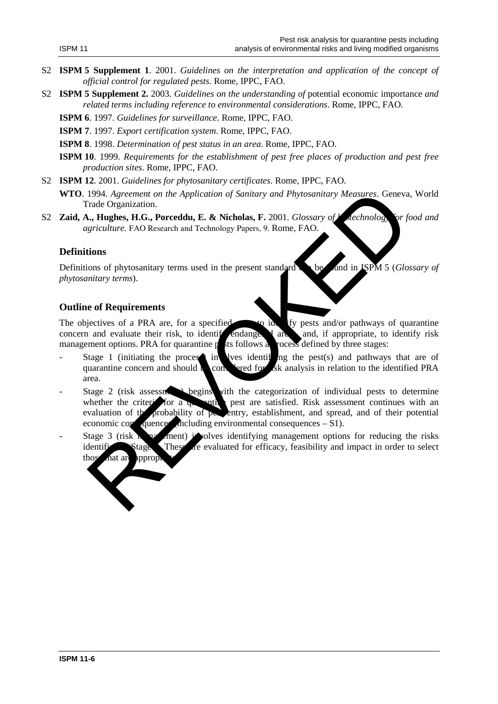- S2 **ISPM 5 Supplement 1**. 2001. *Guidelines on the interpretation and application of the concept of official control for regulated pests*. Rome, IPPC, FAO.
- S2 **ISPM 5 Supplement 2.** 2003. *Guidelines on the understanding of* potential economic importance *and related terms including reference to environmental considerations*. Rome, IPPC, FAO.
	- **ISPM 6**. 1997. *Guidelines for surveillance*. Rome, IPPC, FAO.
	- **ISPM 7**. 1997. *Export certification system*. Rome, IPPC, FAO.
	- **ISPM 8**. 1998. *Determination of pest status in an area*. Rome, IPPC, FAO.
	- **ISPM 10**. 1999. *Requirements for the establishment of pest free places of production and pest free production sites*. Rome, IPPC, FAO.
- S2 **ISPM 12**. 2001. *Guidelines for phytosanitary certificates*. Rome, IPPC, FAO.
	- **WTO**. 1994. *Agreement on the Application of Sanitary and Phytosanitary Measures*. Geneva, World Trade Organization.
- S2 **Zaid, A., Hughes, H.G., Porceddu, E. & Nicholas, F.** 2001. *Glossary of biotechnology for food and agriculture.* FAO Research and Technology Papers, 9. Rome, FAO.

#### **Definitions**

Definitions of phytosanitary terms used in the present standard can be found in ISPM 5 (*Glossary of phytosanitary terms*).

#### **Outline of Requirements**

The objectives of a PRA are, for a specified are to identify pests and/or pathways of quarantine concern and evaluate their risk, to identify endangered areas, and, if appropriate, to identify risk management options. PRA for quarantine  $\mathbf p$  is follows a process defined by three stages:

- Stage 1 (initiating the process in lives identifying the pest(s) and pathways that are of quarantine concern and should **be considered for risk analysis in relation to the identified PRA** area.
- Stage 2 (risk assessment) begins with the categorization of individual pests to determine whether the criterization a  $\frac{1}{2}$  ontinuous with an analysis of the categorization. Risk assessment continues with an whether the criteria for a quarantine pest are satisfied. Risk assessment continues with an evaluation of the probability of  $p_{\rm s}$  entry, establishment, and spread, and of their potential economic consequences (including environmental consequences  $- S1$ ). 1994. Agreement on the Application of Sanitary and Phytosanitary Measures. Geneva<br>
Trade Organization.<br>
In the Application of Sanitary and Phytosanitary Measures. Geneva<br>
I., Hughes, H.G., Porceddu, E. & Nicholas, F. 2001.
- Stage 3 (risk management) involves identifying management options for reducing the risks identificate at Stage 2. These are evaluated for efficacy, feasibility and impact in order to select those that are appropriate.

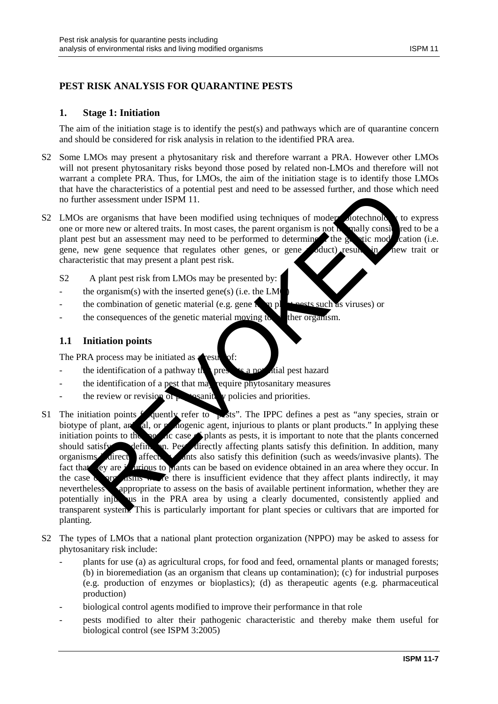## **PEST RISK ANALYSIS FOR QUARANTINE PESTS**

## **1. Stage 1: Initiation**

The aim of the initiation stage is to identify the pest(s) and pathways which are of quarantine concern and should be considered for risk analysis in relation to the identified PRA area.

- S2 Some LMOs may present a phytosanitary risk and therefore warrant a PRA. However other LMOs will not present phytosanitary risks beyond those posed by related non-LMOs and therefore will not warrant a complete PRA. Thus, for LMOs, the aim of the initiation stage is to identify those LMOs that have the characteristics of a potential pest and need to be assessed further, and those which need no further assessment under ISPM 11.
- $S2$  LMOs are organisms that have been modified using techniques of modern biotechnology to express one or more new or altered traits. In most cases, the parent organism is not **h** mally considered to be a plant pest but an assessment may need to be performed to determine the generic mode cation (i.e. gene, new gene sequence that regulates other genes, or gene poduct) results in hew trait or characteristic that may present a plant pest risk.
	- S2 A plant pest risk from LMOs may be presented by:
	- the organism(s) with the inserted gene(s) (i.e. the  $LM$ 
		- the combination of genetic material (e.g. gene  $\mathbf{r}$  or plant pests such as viruses) or
	- the consequences of the genetic material moving to the organism.

## **1.1 Initiation points**

The PRA process may be initiated as  $\triangle$  result of:

- the identification of a pathway the presents a potential pest hazard
- the identification of a pest that may require phytosanitary measures
- the review or revision of  $\mu$  **s** sanitary policies and priorities.
- S1 The initiation points  $f$  quently refer to  $\frac{1}{2}$  sts". The IPPC defines a pest as "any species, strain or biotype of plant, and all, or paradogenic agent, injurious to plants or plant products." In applying these initiation points to the specific case  $\triangle$  plants as pests, it is important to note that the plants concerned should satisfy definition. Pest directly affecting plants satisfy this definition. In addition, many organisms direct affect and ants also satisfy this definition (such as weeds/invasive plants). The fact that they are intuitious to plants can be based on evidence obtained in an area where they occur. In the case  $\alpha$  organisms where there is insufficient evidence that they affect plants indirectly, it may nevertheless appropriate to assess on the basis of available pertinent information, whether they are potentially injurious in the PRA area by using a clearly documented, consistently applied and transparent system. This is particularly important for plant species or cultivars that are imported for planting. efferences and the constrained points are the based of the properties and the plants are the meaning the mean of the properties of a particle of the properties of the properties of the properties of the properties of the p
- S2 The types of LMOs that a national plant protection organization (NPPO) may be asked to assess for phytosanitary risk include:
	- plants for use (a) as agricultural crops, for food and feed, ornamental plants or managed forests; (b) in bioremediation (as an organism that cleans up contamination); (c) for industrial purposes (e.g. production of enzymes or bioplastics); (d) as therapeutic agents (e.g. pharmaceutical production)
	- biological control agents modified to improve their performance in that role
	- pests modified to alter their pathogenic characteristic and thereby make them useful for biological control (see ISPM 3:2005)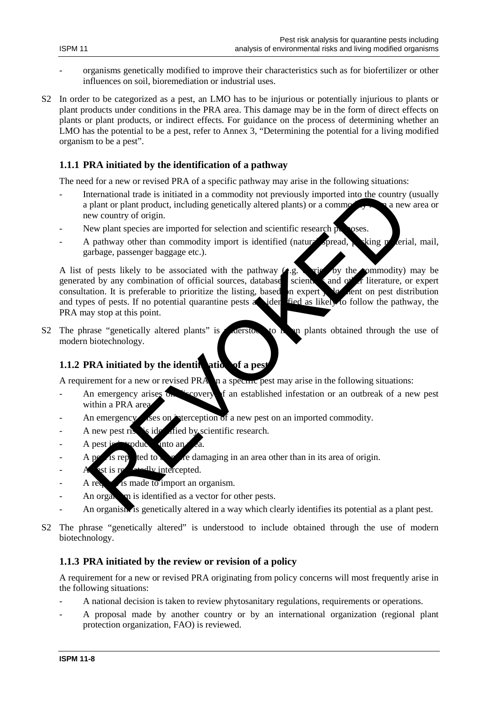- organisms genetically modified to improve their characteristics such as for biofertilizer or other influences on soil, bioremediation or industrial uses.
- S2 In order to be categorized as a pest, an LMO has to be injurious or potentially injurious to plants or plant products under conditions in the PRA area. This damage may be in the form of direct effects on plants or plant products, or indirect effects. For guidance on the process of determining whether an LMO has the potential to be a pest, refer to Annex 3, "Determining the potential for a living modified organism to be a pest".

## **1.1.1 PRA initiated by the identification of a pathway**

The need for a new or revised PRA of a specific pathway may arise in the following situations:

- International trade is initiated in a commodity not previously imported into the country (usually a plant or plant product, including genetically altered plants) or a common  $\sim$  a new area or new country of origin.
- New plant species are imported for selection and scientific research  $\alpha$  oses.
- A pathway other than commodity import is identified (natural spread, whing material, mail, garbage, passenger baggage etc.).

A list of pests likely to be associated with the pathway  $($ e.g. carried by the commodity) may be generated by any combination of official sources, databases scientificant and other literature, or expert consultation. It is preferable to prioritize the listing, based on expert of local ent on pest distribution consultation. It is preferable to prioritize the listing, based on expert  $\sqrt{\alpha}$  ent on pest distribution and types of pests. If no potential quarantine pests are identified as likely to follow the pathway, the PRA may stop at this point. nternational trade is initiated in a commodity not previously imported into the country<br>plant or plant product, including genetically altered plants) or a commodity<br>evan country of origin.<br>For example with specifical speci

S2 The phrase "genetically altered plants" is derstood to mean plants obtained through the use of modern biotechnology.

## **1.1.2 PRA initiated by the identification of a pes**

A requirement for a new or revised PRA  $\parallel$  a specific pest may arise in the following situations:

- An emergency arises on  $\sim$  covery of an established infestation or an outbreak of a new pest within a PRA area
- An emergency as on interception of a new pest on an imported commodity.
- A new pest risk is identified by scientific research.
- A pest is **intervedue** into an
- A persisted to be more damaging in an area other than in its area of origin.
- $-$  A est is repeatedly intercepted.
- $A$  requested is made to import an organism.
- An organism is identified as a vector for other pests.
- An organism is genetically altered in a way which clearly identifies its potential as a plant pest.
- S2 The phrase "genetically altered" is understood to include obtained through the use of modern biotechnology.

#### **1.1.3 PRA initiated by the review or revision of a policy**

A requirement for a new or revised PRA originating from policy concerns will most frequently arise in the following situations:

- A national decision is taken to review phytosanitary regulations, requirements or operations.
- A proposal made by another country or by an international organization (regional plant protection organization, FAO) is reviewed.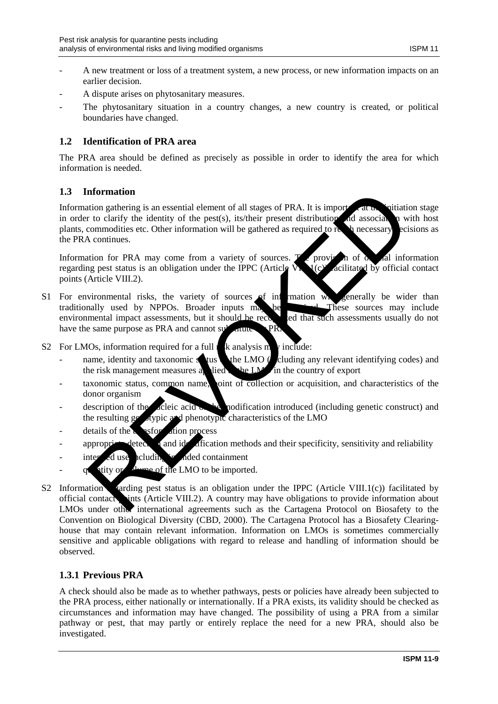- A new treatment or loss of a treatment system, a new process, or new information impacts on an earlier decision.
- A dispute arises on phytosanitary measures.
- The phytosanitary situation in a country changes, a new country is created, or political boundaries have changed.

## **1.2 Identification of PRA area**

The PRA area should be defined as precisely as possible in order to identify the area for which information is needed.

## **1.3 Information**

Information gathering is an essential element of all stages of PRA. It is imported at the initiation stage in order to clarify the identity of the pest(s), its/their present distribution and association with host in order to clarify the identity of the pest(s), its/their present distribution and association with host plants, commodities etc. Other information will be gathered as required to reach necessary ecisions as the PRA continues. nformation<br>
attributed particular transmission and the method and their space of PRA. It is imported associanty<br>
to columnize the dentity of the pest(s), its their present distribution and associanty<br>
commodities etc. Othe

Information for PRA may come from a variety of sources.  $\mathbb{F}_{\ell}$  provision of  $\alpha$  all information regarding pest status is an obligation under the IPPC (Article V,  $\mathbb{F}_{\ell}$  (c) acilitated by official contact regarding pest status is an obligation under the IPPC (Article V<sub>I</sub>I.1(c) points (Article VIII.2).

- S1 For environmental risks, the variety of sources of information will generally be wider than traditionally used by NPPOs. Broader inputs may be traditionally used by NPPOs. Broader inputs may be recorded that such assessments usually do not environmental impact assessments, but it should be recorded that such assessments usually do not environmental impact assessments, but it should be recognized that such assessments, but it should be recognized that such as have the same purpose as PRA and cannot  $\mathbf{s}v^1$  and  $\mathbf{R}$
- S2 For LMOs, information required for a full  $\frac{1}{k}$  analysis may include:
	- name, identity and taxonomic status of the LMO (cluding any relevant identifying codes) and the risk management measures a lied the LMO in the country of export the risk management measures a  $\Box$  the LM $\Box$  in the country of export
	- taxonomic status, common name, point of collection or acquisition, and characteristics of the donor organism
	- description of the deleic acid or the modification introduced (including genetic construct) and the resulting genergie and phenotypic characteristics of the LMO
	- $\alpha$  details of the  $\alpha$  as top ation process
	- appropriate detection and identification methods and their specificity, sensitivity and reliability
	- inter duse including intended containment
	- quantity or value of the LMO to be imported.
- S2 Information rarding pest status is an obligation under the IPPC (Article VIII.1(c)) facilitated by official contact ints (Article VIII.2). A country may have obligations to provide information about  $LMOs$  under other international agreements such as the Cartagena Protocol on Biosafety to the Convention on Biological Diversity (CBD, 2000). The Cartagena Protocol has a Biosafety Clearinghouse that may contain relevant information. Information on LMOs is sometimes commercially sensitive and applicable obligations with regard to release and handling of information should be observed.

## **1.3.1 Previous PRA**

A check should also be made as to whether pathways, pests or policies have already been subjected to the PRA process, either nationally or internationally. If a PRA exists, its validity should be checked as circumstances and information may have changed. The possibility of using a PRA from a similar pathway or pest, that may partly or entirely replace the need for a new PRA, should also be investigated.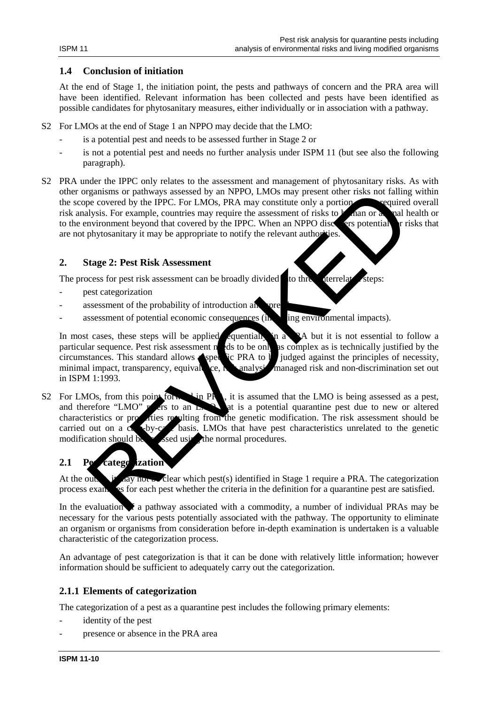#### **1.4 Conclusion of initiation**

At the end of Stage 1, the initiation point, the pests and pathways of concern and the PRA area will have been identified. Relevant information has been collected and pests have been identified as possible candidates for phytosanitary measures, either individually or in association with a pathway.

- S2 For LMOs at the end of Stage 1 an NPPO may decide that the LMO:
	- is a potential pest and needs to be assessed further in Stage 2 or
	- is not a potential pest and needs no further analysis under ISPM 11 (but see also the following paragraph).
- S2 PRA under the IPPC only relates to the assessment and management of phytosanitary risks. As with other organisms or pathways assessed by an NPPO, LMOs may present other risks not falling within<br>the scope covered by the IPPC. For LMOs, PRA may constitute only a portion required overall the scope covered by the IPPC. For LMOs, PRA may constitute only a portion risk analysis. For example, countries may require the assessment of risks to human or animal health or to the environment beyond that covered by the IPPC. When an NPPO discovers potential for risks that are not phytosanitary it may be appropriate to notify the relevant authority.

## **2. Stage 2: Pest Risk Assessment**

The process for pest risk assessment can be broadly divided to three interrelated steps:

- pest categorization
- assessment of the probability of introduction and spre
- $a$ ssessment of potential economic consequences (including environmental impacts).

In most cases, these steps will be applied equentially in a PA but it is not essential to follow a particular sequence. Pest risk assessment needs to be only as complex as is technically justified by the circumstances. This standard allows  $\blacktriangle$ specific PRA to be judged against the principles of necessity, minimal impact, transparency, equivalence,  $\kappa$  analysis, managed risk and non-discrimination set out in ISPM 1:1993.

S2 For LMOs, from this point for  $\mathbb{R}$ , it is assumed that the LMO is being assessed as a pest, and therefore "LMO"  $\mathbb{R}$  ers to an  $\mathbb{R}$ .  $\lim_{n \to \infty}$  at is a potential quarantine pest due to new or altered characteristics or properties resulting from the genetic modification. The risk assessment should be carried out on a case-by-case basis. LMOs that have pest characteristics unrelated to the genetic modification should be seed using the normal procedures. ssed using the normal procedures. Transis or particular the properties and the stressed by an NPPO. Lindos may present other risks not falling<br>thyise. For example, countries may require the assessment of risks to man or a pair<br>divisonitary it may be approp

## **2.1 Perfeatego** *i*zation

At the outset are clear which pest(s) identified in Stage 1 require a PRA. The categorization process exames for each pest whether the criteria in the definition for a quarantine pest are satisfied.

In the evaluation  $\bullet$  a pathway associated with a commodity, a number of individual PRAs may be necessary for the various pests potentially associated with the pathway. The opportunity to eliminate an organism or organisms from consideration before in-depth examination is undertaken is a valuable characteristic of the categorization process.

An advantage of pest categorization is that it can be done with relatively little information; however information should be sufficient to adequately carry out the categorization.

## **2.1.1 Elements of categorization**

The categorization of a pest as a quarantine pest includes the following primary elements:

- identity of the pest
- presence or absence in the PRA area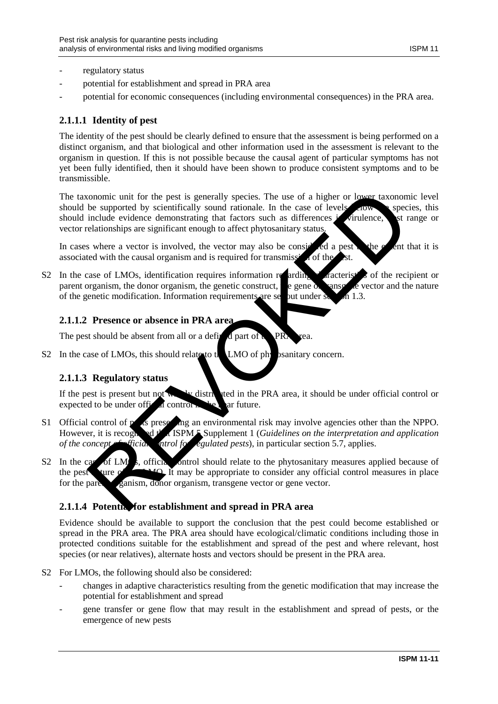- regulatory status
- potential for establishment and spread in PRA area
- potential for economic consequences (including environmental consequences) in the PRA area.

## **2.1.1.1 Identity of pest**

The identity of the pest should be clearly defined to ensure that the assessment is being performed on a distinct organism, and that biological and other information used in the assessment is relevant to the organism in question. If this is not possible because the causal agent of particular symptoms has not yet been fully identified, then it should have been shown to produce consistent symptoms and to be transmissible.

The taxonomic unit for the pest is generally species. The use of a higher or lower taxonomic level should be supported by scientifically sound rationale. In the case of levels  $\sim$  species, this should include evidence demonstrating that factors such as differences in virulence. In strange or vector relationships are significant enough to affect phytosanitary status. commie unit for the pest is generally species. The use of a higher or lower taxonom<br>
be supported by scientifically sound rationals. In the case of levels in<br>the video circle demonstrating that factors such as differences

In cases where a vector is involved, the vector may also be considered a pest the extent that it is associated with the causal organism and is required for transmission of the

S2 In the case of LMOs, identification requires information regarding characteristics of the recipient or parent organism, the donor organism, the genetic construct,  $\epsilon$  gene or  $\epsilon$  vector and the nature of the genetic modification. Information requirements are set out under section 1.3.

## **2.1.1.2 Presence or absence in PRA area**

The pest should be absent from all or a defined part of  $\mathbf{R}$  PR

S2 In the case of LMOs, this should relate to the LMO of physicanitary concern.

## **2.1.1.3 Regulatory status**

If the pest is present but not will be distributed in the PRA area, it should be under official control or expected to be under official control in the near future.

- S1 Official control of pests presenting an environmental risk may involve agencies other than the NPPO. However, it is recognized that ISPM 5 Supplement 1 (*Guidelines on the interpretation and application of the concept of ficial natricular section 5.7, applies. of the concept of ficial performance regulated pests*), in particular section 5.7, applies.
- S2 In the case of LM<sub>os</sub>, official control should relate to the phytosanitary measures applied because of the pest  $\chi$  and  $\chi$  is may be appropriate to consider any official control measures in place for the parent parism, donor organism, transgene vector or gene vector.

## **2.1.1.4 Potentia for establishment and spread in PRA area**

Evidence should be available to support the conclusion that the pest could become established or spread in the PRA area. The PRA area should have ecological/climatic conditions including those in protected conditions suitable for the establishment and spread of the pest and where relevant, host species (or near relatives), alternate hosts and vectors should be present in the PRA area.

- S2 For LMOs, the following should also be considered:
	- changes in adaptive characteristics resulting from the genetic modification that may increase the potential for establishment and spread
	- gene transfer or gene flow that may result in the establishment and spread of pests, or the emergence of new pests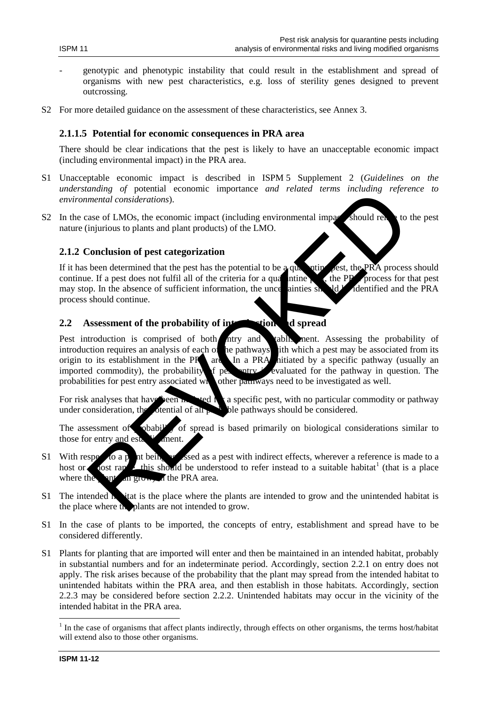- genotypic and phenotypic instability that could result in the establishment and spread of organisms with new pest characteristics, e.g. loss of sterility genes designed to prevent outcrossing.
- S2 For more detailed guidance on the assessment of these characteristics, see Annex 3.

#### **2.1.1.5 Potential for economic consequences in PRA area**

There should be clear indications that the pest is likely to have an unacceptable economic impact (including environmental impact) in the PRA area.

- S1 Unacceptable economic impact is described in ISPM 5 Supplement 2 (*Guidelines on the understanding of* potential economic importance *and related terms including reference to environmental considerations*).
- S2 In the case of LMOs, the economic impact (including environmental impact) should relate to the pest nature (injurious to plants and plant products) of the LMO.

### **2.1.2 Conclusion of pest categorization**

If it has been determined that the pest has the potential to be a quarantine pest, the PRA process should continue. If a pest does not fulfil all of the criteria for a qualitative person for that pest, the PRA process for that pest may stop. In the absence of sufficient information, the uncertainties should be dentified and the PRA process should continue.

## **2.2** Assessment of the probability of interestion and spread

Pest introduction is comprised of both ntry and tablis ment. Assessing the probability of introduction requires an analysis of each of the pathways ith which a pest may be associated from its origin to its establishment in the PR area. In a PRA hitiated by a specific pathway (usually an imported commodity), the probability of person in evaluated for the pathway in question. The imported commodity), the probability of pest entry is evaluated for the pathway in question. The probabilities for pest entry associated which other pathways need to be investigated as well. other pathways need to be investigated as well. Structure and the probability of the strength of the proteins and the proteined and the proteined and the proteined and the proteined that the pest does not fulfil all of the criteria for a qualitations.<br>
Conclusion of pes

For risk analyses that have been  $\mathbf{h}$  is ted  $\mathbf{h}$  a specific pest, with no particular commodity or pathway under consideration, the otential of all  $\mu$ , ble pathways should be considered.

The assessment of probability of spread is based primarily on biological considerations similar to those for entry and establishment.

- S1 With respect to a plant being assessed as a pest with indirect effects, wherever a reference is made to a host or a notation of this should be understood to refer instead to a suitable habitat<sup>1</sup> (that is a place where the plant can grow. If the PRA area.
- S1 The intended habitat is the place where the plants are intended to grow and the unintended habitat is the place where the plants are not intended to grow.
- S1 In the case of plants to be imported, the concepts of entry, establishment and spread have to be considered differently.
- S1 Plants for planting that are imported will enter and then be maintained in an intended habitat, probably in substantial numbers and for an indeterminate period. Accordingly, section 2.2.1 on entry does not apply. The risk arises because of the probability that the plant may spread from the intended habitat to unintended habitats within the PRA area, and then establish in those habitats. Accordingly, section 2.2.3 may be considered before section 2.2.2. Unintended habitats may occur in the vicinity of the intended habitat in the PRA area.

-

<span id="page-11-0"></span> $<sup>1</sup>$  In the case of organisms that affect plants indirectly, through effects on other organisms, the terms host/habitat</sup> will extend also to those other organisms.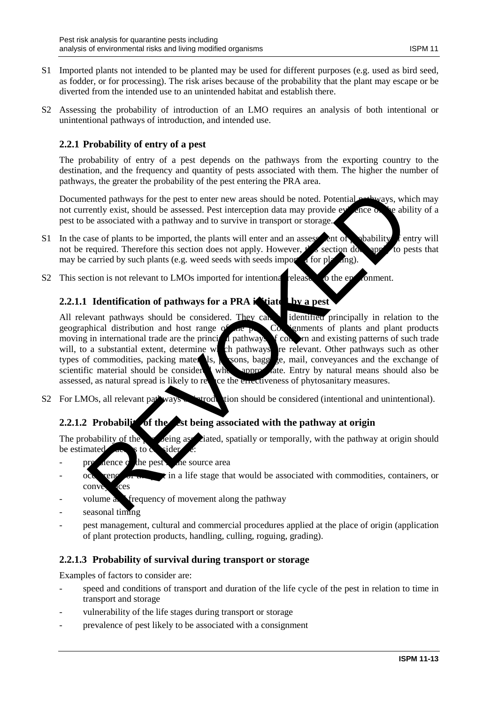- S1 Imported plants not intended to be planted may be used for different purposes (e.g. used as bird seed, as fodder, or for processing). The risk arises because of the probability that the plant may escape or be diverted from the intended use to an unintended habitat and establish there.
- S2 Assessing the probability of introduction of an LMO requires an analysis of both intentional or unintentional pathways of introduction, and intended use.

## **2.2.1 Probability of entry of a pest**

The probability of entry of a pest depends on the pathways from the exporting country to the destination, and the frequency and quantity of pests associated with them. The higher the number of pathways, the greater the probability of the pest entering the PRA area.

Documented pathways for the pest to enter new areas should be noted. Potential **pathways**, which may not currently exist, should be assessed. Pest interception data may provide evidence of the ability of a pest to be associated with a pathway and to survive in transport or storage.

- S1 In the case of plants to be imported, the plants will enter and an assessment of posibility  $\hat{f}$  entry will not be required. Therefore this section does not apply. However,  $t \rightarrow s$  section does apply to pests that may be carried by such plants (e.g. weed seeds with seeds imported for planting).
- S2 This section is not relevant to LMOs imported for intentional release to the environment.

## **2.2.1.1 Identification of pathways for a PRA initiated Law a pest**

All relevant pathways should be considered. They can be identified principally in relation to the geographical distribution and host range of  $\alpha$  being  $\alpha$  separately plants and plant products moving in international trade are the principal pathways of concern and existing patterns of such trade will, to a substantial extent, determine which pathways are relevant. Other pathways such as other types of commodities, packing materials, persons, baggage, mail, conveyances and the exchange of scientific material should be considered where appropriate. Entry by natural means should also be assessed, as natural spread is likely to recently the energy of phytosanitary measures. ce the encetiveness of phytosanitary measures. ented pathways for the pest to enter new areas should be noted. Potential and ways, when the associated with a pathway and to savive in transport or storage.<br>
The associated with a pathway and to savive in transport or sto

S2 For LMOs, all relevant pathways of introduction should be considered (intentional and unintentional).

## **2.2.1.2 Probability of the est being associated with the pathway at origin**

The probability of the person being associated, spatially or temporally, with the pathway at origin should be estimated.  $\overline{a}$  is to consider

- prevalence of the pest in the source area
- $\alpha$  occurrence of the pest in a life stage that would be associated with commodities, containers, or conve
- volume and frequency of movement along the pathway
- seasonal timing
- pest management, cultural and commercial procedures applied at the place of origin (application of plant protection products, handling, culling, roguing, grading).

## **2.2.1.3 Probability of survival during transport or storage**

Examples of factors to consider are:

- speed and conditions of transport and duration of the life cycle of the pest in relation to time in transport and storage
- vulnerability of the life stages during transport or storage
- prevalence of pest likely to be associated with a consignment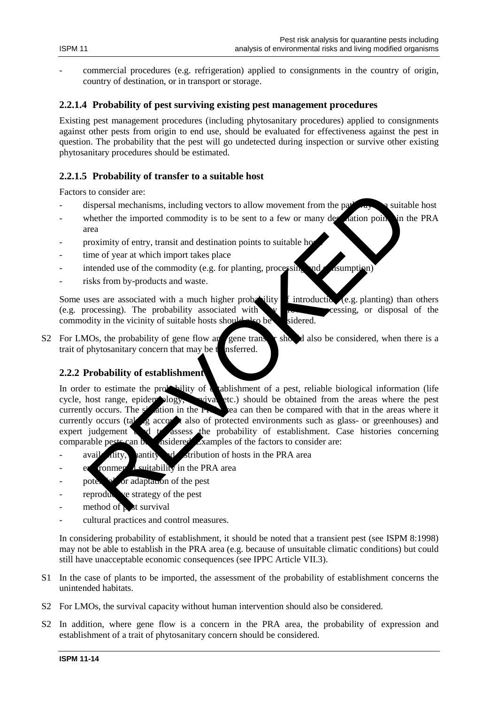- 
- commercial procedures (e.g. refrigeration) applied to consignments in the country of origin, country of destination, or in transport or storage.

## **2.2.1.4 Probability of pest surviving existing pest management procedures**

Existing pest management procedures (including phytosanitary procedures) applied to consignments against other pests from origin to end use, should be evaluated for effectiveness against the pest in question. The probability that the pest will go undetected during inspection or survive other existing phytosanitary procedures should be estimated.

## **2.2.1.5 Probability of transfer to a suitable host**

Factors to consider are:

- dispersal mechanisms, including vectors to allow movement from the pathway of suitable host
- whether the imported commodity is to be sent to a few or many destination points in the PRA area
- proximity of entry, transit and destination points to suitable ho
- time of year at which import takes place
- intended use of the commodity (e.g. for planting, processing and  $\epsilon$  is umption)
- risks from by-products and waste.

Some uses are associated with a much higher probability  $\int$  introduction (e.g. planting) than others (e.g. processing). The probability associated with  $\sim$  growth, processing, or disposal of the commodity in the vicinity of suitable hosts should also be sidered. commodity in the vicinity of suitable hosts should also be

S2 For LMOs, the probability of gene flow and gene transfer should also be considered, when there is a trait of phytosanitary concern that may be the insferred.

## **2.2.2 Probability of establishment**

In order to estimate the probability of a tablishment of a pest, reliable biological information (life cycle, host range, epidemology, wive etc.) should be obtained from the areas where the pest wival etc.) should be obtained from the areas where the pest currently occurs. The situation in the PRA area can then be compared with that in the areas where it currently occurs (taking accordinates) and currently occurs (taking accordinates) and currently occurs (taking account also of protected environments such as glass- or greenhouses) and expert judgement de to assess the probability of establishment. Case histories concerning comparable pests can be assidered. Examples of the factors to consider are:  $\alpha$  considered. Examples of the factors to consider are: to consider are:<br>
to consider are:<br>
the the imported commodity is to be sent to a few or many dependent<br>
the the imported commodity is to be sent to a few or many dependent<br>
reaches the imported commodity is to be sent to

- $\alpha$  availability,  $\alpha$  and  $\alpha$  distribution of hosts in the PRA area
- $e^{i}$  ronment suitability in the PRA area
- pote  $\mathbf{A}^T$  or adaptation of the pest
- reproductive strategy of the pest
- method of  $\triangleright$  st survival
- cultural practices and control measures.

In considering probability of establishment, it should be noted that a transient pest (see ISPM 8:1998) may not be able to establish in the PRA area (e.g. because of unsuitable climatic conditions) but could still have unacceptable economic consequences (see IPPC Article VII.3).

- S1 In the case of plants to be imported, the assessment of the probability of establishment concerns the unintended habitats.
- S2 For LMOs, the survival capacity without human intervention should also be considered.
- S2 In addition, where gene flow is a concern in the PRA area, the probability of expression and establishment of a trait of phytosanitary concern should be considered.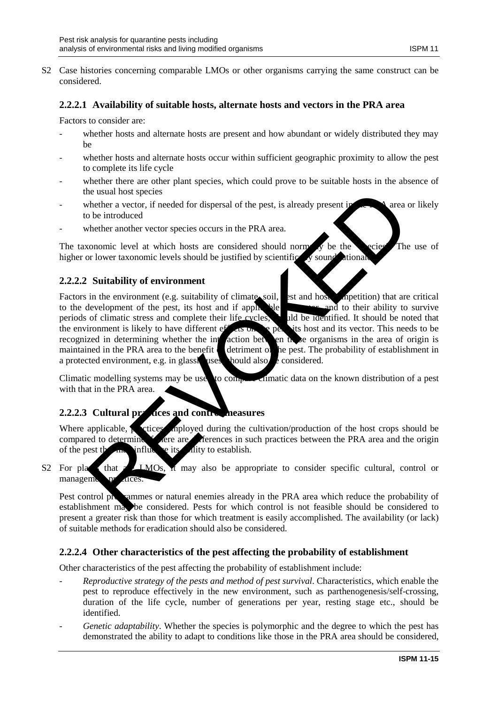S2 Case histories concerning comparable LMOs or other organisms carrying the same construct can be considered.

## **2.2.2.1 Availability of suitable hosts, alternate hosts and vectors in the PRA area**

Factors to consider are:

- whether hosts and alternate hosts are present and how abundant or widely distributed they may be
- whether hosts and alternate hosts occur within sufficient geographic proximity to allow the pest to complete its life cycle
- whether there are other plant species, which could prove to be suitable hosts in the absence of the usual host species
- whether a vector, if needed for dispersal of the pest, is already present in  $\mathbb{R}$  area or likely to be introduced
- whether another vector species occurs in the PRA area.

The taxonomic level at which hosts are considered should norm  $\overrightarrow{N}$  be the species<sup>"</sup>. The use of higher or lower taxonomic levels should be justified by scientifically sound attional

## **2.2.2.2 Suitability of environment**

Factors in the environment (e.g. suitability of climate, soil, est and host method) that are critical to the development of the pest, its host and if applicable its and to their ability to survive periods of climatic stress and complete their life cycles, periods of climatic stress and complete their life cycles. the environment is likely to have different effects on the person test and its vector. This needs to be recognized in determining whether the interaction between these organisms in the area of origin is maintained in the PRA area to the benefit determined the pest. The probability of establishment in a protected environment, e.g. in glassimuses, should also be considered. the usual host species<br>be introduced for dispersal of the pest, is already present in the behaviour and the contribution<br>of the introduced<br>of the introduced at which hosts are considered should norm at the person of the pe

Climatic modelling systems may be used to compare climatic data on the known distribution of a pest with that in the PRA area.

## **2.2.2.3 Cultural practices and control measures**

Where applicable, provide the cultivation/production of the host crops should be compared to determine the experiences in such practices between the PRA area and the origin ere are are are are determine in such practices between the PRA area and the origin of the pest that  $\ln \theta$  influence its ability to establish.

S2 For plants that a LLMOs,  $\overline{X}$  may also be appropriate to consider specific cultural, control or management practices

Pest control programmes or natural enemies already in the PRA area which reduce the probability of establishment may be considered. Pests for which control is not feasible should be considered to present a greater risk than those for which treatment is easily accomplished. The availability (or lack) of suitable methods for eradication should also be considered.

## **2.2.2.4 Other characteristics of the pest affecting the probability of establishment**

Other characteristics of the pest affecting the probability of establishment include:

- *Reproductive strategy of the pests and method of pest survival*. Characteristics, which enable the pest to reproduce effectively in the new environment, such as parthenogenesis/self-crossing, duration of the life cycle, number of generations per year, resting stage etc., should be identified.
- *Genetic adaptability*. Whether the species is polymorphic and the degree to which the pest has demonstrated the ability to adapt to conditions like those in the PRA area should be considered,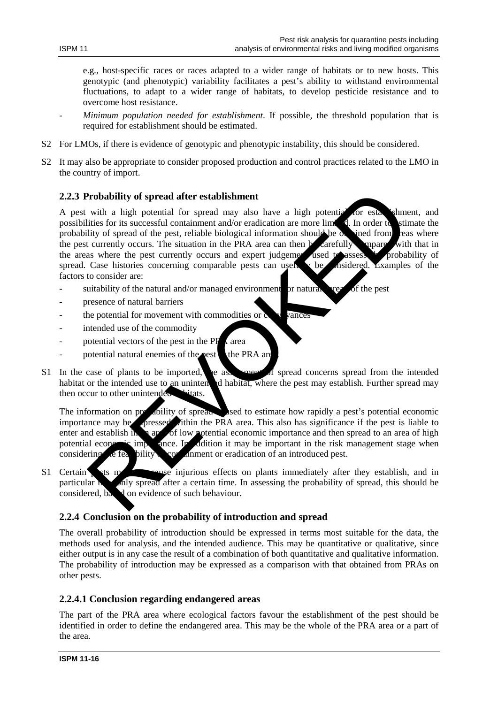e.g., host-specific races or races adapted to a wider range of habitats or to new hosts. This genotypic (and phenotypic) variability facilitates a pest's ability to withstand environmental fluctuations, to adapt to a wider range of habitats, to develop pesticide resistance and to overcome host resistance.

- *Minimum population needed for establishment*. If possible, the threshold population that is required for establishment should be estimated.
- S2 For LMOs, if there is evidence of genotypic and phenotypic instability, this should be considered.
- S2 It may also be appropriate to consider proposed production and control practices related to the LMO in the country of import.

### **2.2.3 Probability of spread after establishment**

A pest with a high potential for spread may also have a high potential for establishment, and possibilities for its successful containment and/or eradication are more  $\lim_{n \to \infty} d$ . In order to stimate the possibilities for its successful containment and/or eradication are more limited. In order to probability of spread of the pest, reliable biological information should be  $\alpha$  and from ceasure the pest currently occurs. The situation in the PRA area can then be carefully empared with that in the areas where the pest currently occurs and expert judgement used to assess the probability of spread. Case histories concerning comparable pests can usefully be considered. Examples of the factors to consider are: Probability of spread after establishment<br>with a high potential for spread may also have a high potential for seats<br>filties for its successful containment and/or encidention are more lime<br>it in order to successful containm

- suitability of the natural and/or managed environment for natural spread of the pest
- presence of natural barriers
- the potential for movement with commodities or  $\alpha$  v vances
- intended use of the commodity
- potential vectors of the pest in the  $PF_A$  area
- potential natural enemies of the **pest** the PRA are
- S1 In the case of plants to be imported, the assessment of spread concerns spread from the intended habitat or the intended use to an unintended habitat, where the pest may establish. Further spread may then occur to other unintended

The information on probability of spread is used to estimate how rapidly a pest's potential economic importance may be pressed ithin the PRA area. This also has significance if the pest is liable to importance may be **expressed** ithin the PRA area. This also has significance if the pest is liable to enter and establish in an area of low potential economic importance and then spread to an area of high potential economic importance. In addition it may be important in the risk management stage when considering the feasibility of containment or eradication of an introduced pest.

S1 Certain ets may not cause injurious effects on plants immediately after they establish, and in particular may only spread after a certain time. In assessing the probability of spread, this should be considered,  $\mathbf{b}$ a don evidence of such behaviour.

## **2.2.4 Conclusion on the probability of introduction and spread**

The overall probability of introduction should be expressed in terms most suitable for the data, the methods used for analysis, and the intended audience. This may be quantitative or qualitative, since either output is in any case the result of a combination of both quantitative and qualitative information. The probability of introduction may be expressed as a comparison with that obtained from PRAs on other pests.

### **2.2.4.1 Conclusion regarding endangered areas**

The part of the PRA area where ecological factors favour the establishment of the pest should be identified in order to define the endangered area. This may be the whole of the PRA area or a part of the area.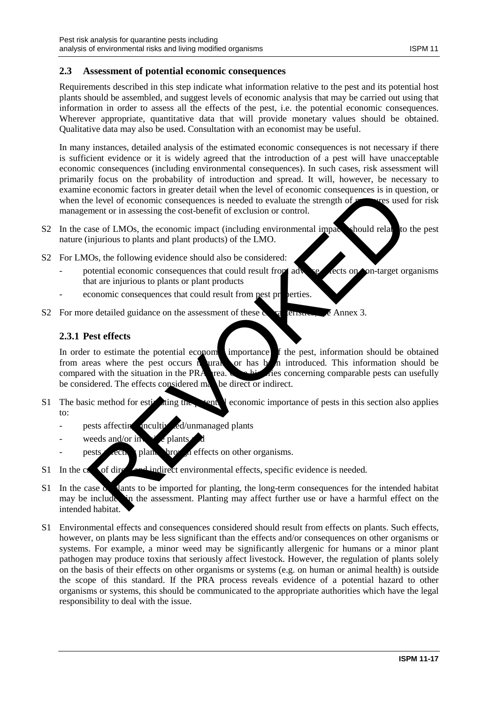## **2.3 Assessment of potential economic consequences**

Requirements described in this step indicate what information relative to the pest and its potential host plants should be assembled, and suggest levels of economic analysis that may be carried out using that information in order to assess all the effects of the pest, i.e. the potential economic consequences. Wherever appropriate, quantitative data that will provide monetary values should be obtained. Qualitative data may also be used. Consultation with an economist may be useful.

In many instances, detailed analysis of the estimated economic consequences is not necessary if there is sufficient evidence or it is widely agreed that the introduction of a pest will have unacceptable economic consequences (including environmental consequences). In such cases, risk assessment will primarily focus on the probability of introduction and spread. It will, however, be necessary to examine economic factors in greater detail when the level of economic consequences is in question, or when the level of economic consequences is needed to evaluate the strength of  $\mathbf{r}$  measures used for risk management or in assessing the cost-benefit of exclusion or control.

- S2 In the case of LMOs, the economic impact (including environmental impact) should relate to the pest nature (injurious to plants and plant products) of the LMO.
- S2 For LMOs, the following evidence should also be considered:
	- potential economic consequences that could result from adverse effects on non-target organisms that are injurious to plants or plant products
	- economic consequences that could result from pest properties.
- S2 For more detailed guidance on the assessment of these characteristics, see Annex 3.

## **2.3.1 Pest effects**

In order to estimate the potential economic importance of the pest, information should be obtained from areas where the pest occurs in ural or has by in introduced. This information should be from areas where the pest occurs naturally or has been introduced. This information should be compared with the situation in the PRA  $_{\text{rea.}}$  case histories concerning comparable pests can usefully be considered. The effects considered may be direct or indirect. e economic rators in greater detail when the level of comomic consequences is model<br>to level of conomic consequences is needed to evaluate the strength of these used<br>ment or in assessing the cost-benefit of exclusion or co

- S1 The basic method for estimating the potential economic importance of pests in this section also applies to:
	- pests affecting uncultivated/unmanaged plants
	- weeds and/or invariants plants
	- pests ecu plant through effects on other organisms.
- S1 In the case of direction direct environmental effects, specific evidence is needed.
- S1 In the case of plants to be imported for planting, the long-term consequences for the intended habitat may be include in the assessment. Planting may affect further use or have a harmful effect on the in the assessment. Planting may affect further use or have a harmful effect on the intended habitat.
- S1 Environmental effects and consequences considered should result from effects on plants. Such effects, however, on plants may be less significant than the effects and/or consequences on other organisms or systems. For example, a minor weed may be significantly allergenic for humans or a minor plant pathogen may produce toxins that seriously affect livestock. However, the regulation of plants solely on the basis of their effects on other organisms or systems (e.g. on human or animal health) is outside the scope of this standard. If the PRA process reveals evidence of a potential hazard to other organisms or systems, this should be communicated to the appropriate authorities which have the legal responsibility to deal with the issue.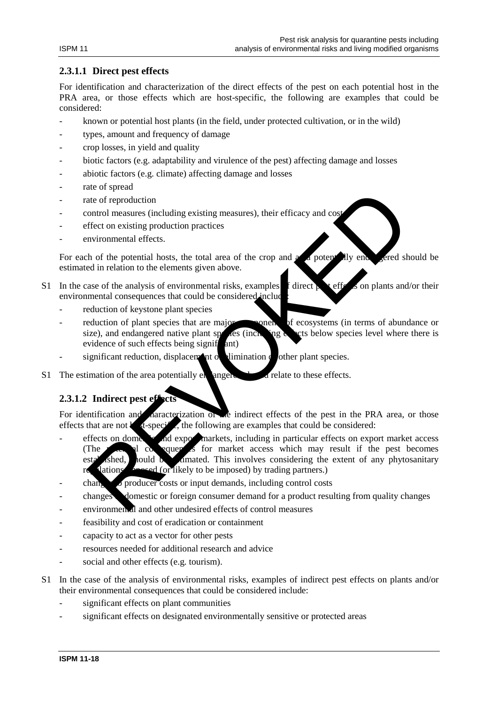## **2.3.1.1 Direct pest effects**

For identification and characterization of the direct effects of the pest on each potential host in the PRA area, or those effects which are host-specific, the following are examples that could be considered:

- known or potential host plants (in the field, under protected cultivation, or in the wild)
- types, amount and frequency of damage
- crop losses, in yield and quality
- biotic factors (e.g. adaptability and virulence of the pest) affecting damage and losses
- abiotic factors (e.g. climate) affecting damage and losses
- rate of spread
- rate of reproduction
- control measures (including existing measures), their efficacy and cos
- effect on existing production practices
- environmental effects.

For each of the potential hosts, the total area of the crop and a potentially end. Level should be estimated in relation to the elements given above.

- S1 In the case of the analysis of environmental risks, examples f direct  $\epsilon$  effects on plants and/or their environmental consequences that could be considered include
	- reduction of keystone plant species
	- reduction of plant species that are major component of ecosystems (in terms of abundance or size), and endangered native plant species (including  $\epsilon$  and set below species level where there is evidence of such effects being signift  $\theta$  ant)
	- significant reduction, displacement of elimination  $\alpha$  other plant species.
- S1 The estimation of the area potentially enangered should relate to these effects.

## **2.3.1.2 Indirect pest effects**

For identification and *characterization* of the indirect effects of the pest in the PRA area, or those effects that are not  $k$  t-specific, the following are examples that could be considered:

- effects on domestic and export markets, including in particular effects on export market access (The potential consequences for market access which may result if the pest becomes  $\text{est}_2$  shed, should be estimated. This involves considering the extent of any phytosanitary regulations **imposed** (or likely to be imposed) by trading partners.) the of reproduction<br>ate of reproduction<br>ontrol measures (including existing measures), their efficacy and cost<br>frect on existing production practices<br>wirommental effects.<br>And in relation to the elements given above.<br>as es
- $\epsilon$  changes to producer costs or input demands, including control costs
- changes domestic or foreign consumer demand for a product resulting from quality changes
- environmen<sup>1</sup> and other undesired effects of control measures
- feasibility and cost of eradication or containment
- capacity to act as a vector for other pests
- resources needed for additional research and advice
- social and other effects (e.g. tourism).
- S1 In the case of the analysis of environmental risks, examples of indirect pest effects on plants and/or their environmental consequences that could be considered include:
	- significant effects on plant communities
	- significant effects on designated environmentally sensitive or protected areas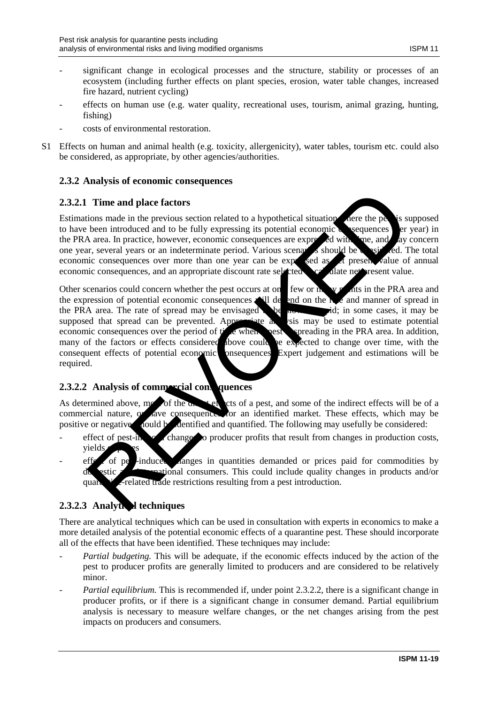- significant change in ecological processes and the structure, stability or processes of an ecosystem (including further effects on plant species, erosion, water table changes, increased fire hazard, nutrient cycling)
- effects on human use (e.g. water quality, recreational uses, tourism, animal grazing, hunting, fishing)
- costs of environmental restoration.
- S1 Effects on human and animal health (e.g. toxicity, allergenicity), water tables, tourism etc. could also be considered, as appropriate, by other agencies/authorities.

## **2.3.2 Analysis of economic consequences**

### **2.3.2.1 Time and place factors**

Estimations made in the previous section related to a hypothetical situation where the pest is supposed to have been introduced and to be fully expressing its potential economic  $\alpha$  sequences  $\alpha$  er year) in the PRA area. In practice, however, economic consequences are expressed with time, and say concern one year, several years or an indeterminate period. Various scenarios should be considered. The total economic consequences over more than one year can be expressed as  $\alpha$  present value of annual economic consequences, and an appropriate discount rate selected  $\sim$  calculate net present value.

Other scenarios could concern whether the pest occurs at one, few or many points in the PRA area and the expression of potential economic consequences will depend on the rate and manner of spread in the PRA area. The rate of spread may be envisaged to be spread in some cases, it may be supposed that spread can be prevented. Appropriate a vsis may be used to estimate potential economic consequences over the period of the when pest preading in the PRA area. In addition, economic consequences over the period of  $t^*$  a when many of the factors or effects considered above could be expected to change over time, with the consequent effects of potential economic posequences. Expert judgement and estimations will be required. Time and place factors<br>
tions made in the previous section related to a hypothetical situation<br>
been introduced and to be fully expressing its potential economic<br>
area. In practice, however, cconomic consequences are capt

## **2.3.2.2 Analysis of commercial consequences**

As determined above, most of the  $\alpha$ , such a pest, and some of the indirect effects will be of a commercial nature, or have consequences for an identified market. These effects, which may be positive or negative, nould be dentified and quantified. The following may usefully be considered:

- effect of pest-induced change to producer profits that result from changes in production costs, yields
- effect of perfection of perfection changes in quantities demanded or prices paid for commodities by national consumers. This could include quality changes in products and/or quarantine-related trade restrictions resulting from a pest introduction.

## **2.3.2.3 Analytical techniques**

There are analytical techniques which can be used in consultation with experts in economics to make a more detailed analysis of the potential economic effects of a quarantine pest. These should incorporate all of the effects that have been identified. These techniques may include:

- *Partial budgeting.* This will be adequate, if the economic effects induced by the action of the pest to producer profits are generally limited to producers and are considered to be relatively minor.
- *Partial equilibrium.* This is recommended if, under point 2.3.2.2, there is a significant change in producer profits, or if there is a significant change in consumer demand. Partial equilibrium analysis is necessary to measure welfare changes, or the net changes arising from the pest impacts on producers and consumers.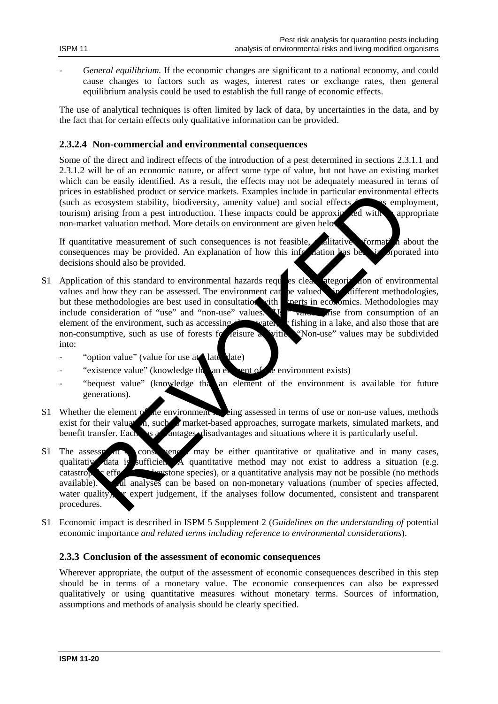- *General equilibrium.* If the economic changes are significant to a national economy, and could cause changes to factors such as wages, interest rates or exchange rates, then general equilibrium analysis could be used to establish the full range of economic effects.

The use of analytical techniques is often limited by lack of data, by uncertainties in the data, and by the fact that for certain effects only qualitative information can be provided.

### **2.3.2.4 Non-commercial and environmental consequences**

Some of the direct and indirect effects of the introduction of a pest determined in sections 2.3.1.1 and 2.3.1.2 will be of an economic nature, or affect some type of value, but not have an existing market which can be easily identified. As a result, the effects may not be adequately measured in terms of prices in established product or service markets. Examples include in particular environmental effects (such as ecosystem stability, biodiversity, amenity value) and social effects  $\sim$  as employment, tourism) arising from a pest introduction. These impacts could be approximated with appropriate non-market valuation method. More details on environment are given below.

If quantitative measurement of such consequences is not feasible.  $\Box$  ditative formation about the consequences may be provided. An explanation of how this information has been incorporated into decisions should also be provided.

- S1 Application of this standard to environmental hazards requires clear at at at a stegorization of environmental values and how they can be assessed. The environment can be valued in different methodologies. values and how they can be assessed. The environment can be valued but these methodologies are best used in consultation with experts in economics. Methodologies may include consideration of "use" and "non-use" values.  $\mathbf{V}$  when disc from consumption of an element of the environment, such as accessing clean water, the fishing in a lake, and also those that are non-consumptive, such as use of forests for leisure a vitteral "Non-use" values may be subdivided into: n established product or service markets. Examples include in particular environmental is a<br>secosystem stability, biodiversity, amentity value) and social effects<br>were employed with approximate and the set in the dual of t
	- "option value" (value for use at late date)
	- "existence value" (knowledge the an element of the environment exists)
	- "bequest value" (knowledge that an element of the environment is available for future generations).
- S1 Whether the element  $\alpha'$  the environment is being assessed in terms of use or non-use values, methods exist for their valuation, such as market-based approaches, surrogate markets, simulated markets, and benefit transfer. Each as a disadvantages and situations where it is particularly useful.
- S1 The assessment of consequences may be either quantitative or qualitative and in many cases, qualitative data is sufficient. A quantitative method may not exist to address a situation (e.g.  $\epsilon$  catastrophic effects on a keystone species), or a quantitative analysis may not be possible (no methods available). In analyses can be based on non-monetary valuations (number of species affected, water quality),  $\bf{r}$  expert judgement, if the analyses follow documented, consistent and transparent procedures.
- S1 Economic impact is described in ISPM 5 Supplement 2 (*Guidelines on the understanding of* potential economic importance *and related terms including reference to environmental considerations*).

#### **2.3.3 Conclusion of the assessment of economic consequences**

Wherever appropriate, the output of the assessment of economic consequences described in this step should be in terms of a monetary value. The economic consequences can also be expressed qualitatively or using quantitative measures without monetary terms. Sources of information, assumptions and methods of analysis should be clearly specified.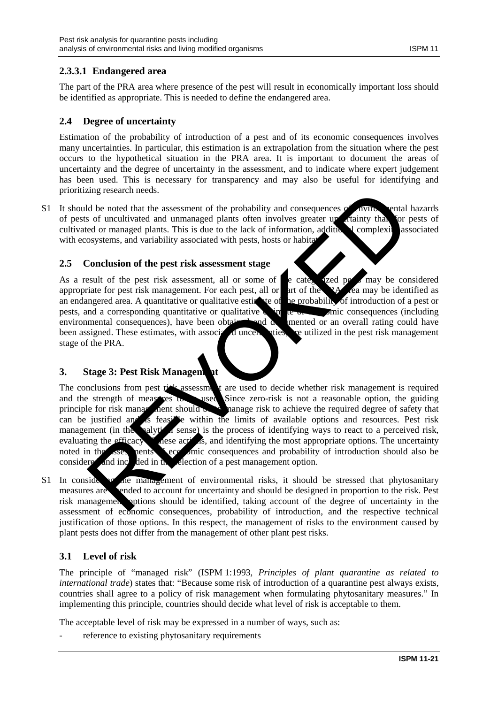## **2.3.3.1 Endangered area**

The part of the PRA area where presence of the pest will result in economically important loss should be identified as appropriate. This is needed to define the endangered area.

#### **2.4 Degree of uncertainty**

Estimation of the probability of introduction of a pest and of its economic consequences involves many uncertainties. In particular, this estimation is an extrapolation from the situation where the pest occurs to the hypothetical situation in the PRA area. It is important to document the areas of uncertainty and the degree of uncertainty in the assessment, and to indicate where expert judgement has been used. This is necessary for transparency and may also be useful for identifying and prioritizing research needs.

S1 It should be noted that the assessment of the probability and consequences of environmental hazards of pests of uncultivated and unmanaged plants often involves greater up attainty that for pests of of pests of uncultivated and unmanaged plants often involves greater un ritainty than for pests of cultivated or managed plants. This is due to the lack of information, additional complexity associated with ecosystems, and variability associated with pests, hosts or habitation

#### **2.5 Conclusion of the pest risk assessment stage**

As a result of the pest risk assessment, all or some of  $\blacksquare$  e categorized personal may be considered appropriate for pest risk management. For each pest, all or  $\alpha$  art of the PA area may be identified as an endangered area. A quantitative or qualitative estimate of the probability of introduction of a pest or pests, and a corresponding quantitative or qualitative  $\sum_{n=1}^{\infty}$  equalitative of equalitative or equalitative or equalitative or equalitative or equalitative or equalitative or equalitative or equalitative or equalit environmental consequences), have been obtained and documented or an overall rating could have been assigned. These estimates, with associated uncertainties, are utilized in the pest risk management stage of the PRA.

## **3.** Stage 3: Pest Risk Management

The conclusions from pest risk assessment are used to decide whether risk management is required<br>and the strength of measures to used Since zero-risk is not a reasonable option, the guiding<br>the strength of the strength of and the strength of measures to used. Since zero-risk is not a reasonable option, the guiding principle for risk management should be the management should be the required degree of safety that can be justified and is feasible within the limits of available options and resources. Pest risk management (in the analytical sense) is the process of identifying ways to react to a perceived risk, evaluating the efficacy are actions, and identifying the most appropriate options. The uncertainty  $\epsilon$  and identifying the most appropriate options. The uncertainty noted in the assessments seconomic consequences and probability of introduction should also be considered and included in the selection of a pest management option. Example and the material of the probability and consequences of a solution and the noted that the assessment of the plants of the lack of information, addited complexities and variability associated with pests, hosts or ha

S1 In considering the management of environmental risks, it should be stressed that phytosanitary measures are intended to account for uncertainty and should be designed in proportion to the risk. Pest risk management options should be identified, taking account of the degree of uncertainty in the assessment of economic consequences, probability of introduction, and the respective technical justification of those options. In this respect, the management of risks to the environment caused by plant pests does not differ from the management of other plant pest risks.

## **3.1 Level of risk**

The principle of "managed risk" (ISPM 1:1993, *Principles of plant quarantine as related to international trade*) states that: "Because some risk of introduction of a quarantine pest always exists, countries shall agree to a policy of risk management when formulating phytosanitary measures." In implementing this principle, countries should decide what level of risk is acceptable to them.

The acceptable level of risk may be expressed in a number of ways, such as:

reference to existing phytosanitary requirements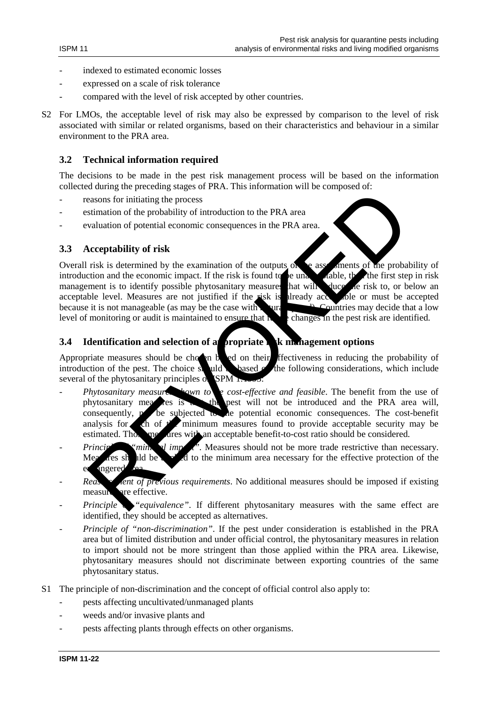- indexed to estimated economic losses
- expressed on a scale of risk tolerance
- compared with the level of risk accepted by other countries.
- S2 For LMOs, the acceptable level of risk may also be expressed by comparison to the level of risk associated with similar or related organisms, based on their characteristics and behaviour in a similar environment to the PRA area.

## **3.2 Technical information required**

The decisions to be made in the pest risk management process will be based on the information collected during the preceding stages of PRA. This information will be composed of:

- reasons for initiating the process
- estimation of the probability of introduction to the PRA area
- evaluation of potential economic consequences in the PRA area.

### **3.3 Acceptability of risk**

Overall risk is determined by the examination of the outputs of the assessments of the probability of introduction and the economic impact. If the risk is found to be unable, the first step in risk introduction and the economic impact. If the risk is found to be unacceptable, then the first step in risk is found to be unacceptable. management is to identify possible phytosanitary measures that will duce the risk to, or below an acceptable level. Measures are not justified if the risk is already accepted to must be accepted acceptable level. Measures are not justified if the risk is already acc because it is not manageable (as may be the case with  $\frac{1}{2}$  Countries may decide that a low level of monitoring or audit is maintained to ensure that  $\mathbf{h}$  changes in the pest risk are identified.

## **3.4 Identification and selection of a propriate risk management options**

Appropriate measures should be chosen based on their effectiveness in reducing the probability of introduction of the pest. The choice should based  $\alpha$  the following considerations, which include several of the phytosanitary principles of **ISPM** 

- *Phytosanitary measures shown to be cost-effective and feasible*. The benefit from the use of phytosanitary measures is the pest will not be introduced and the PRA area will phytosanitary measures is the pest will not be introduced and the PRA area will, consequently, post be subjected to the potential economic consequences. The cost-benefit analysis for the of the minimum measures found to provide acceptable security may be estimated. The  $\frac{1}{2}$  are  $\frac{1}{2}$  are  $\frac{1}{2}$  are acceptable benefit-to-cost ratio should be considered.  $\alpha$  measures with an acceptable benefit-to-cost ratio should be considered. becomes the probability of the probability of introduction to the PRA area<br>easons for initiating the process<br>simulation of the probability of ritroduction to the PRA area.<br>Acceptability of risk<br>risk is determined by the e
- *Principle of "minimal impact"*. Measures should not be more trade restrictive than necessary. Measures should be a  $\mathcal A$  to the minimum area necessary for the effective protection of the er angered
- Reaster *Reaster all of previous requirements*. No additional measures should be imposed if existing measure are effective.
- Principle  $\bullet$  "equivalence". If different phytosanitary measures with the same effect are identified, they should be accepted as alternatives.
- *Principle of "non-discrimination"*. If the pest under consideration is established in the PRA area but of limited distribution and under official control, the phytosanitary measures in relation to import should not be more stringent than those applied within the PRA area. Likewise, phytosanitary measures should not discriminate between exporting countries of the same phytosanitary status.
- S1 The principle of non-discrimination and the concept of official control also apply to:
	- pests affecting uncultivated/unmanaged plants
	- weeds and/or invasive plants and
	- pests affecting plants through effects on other organisms.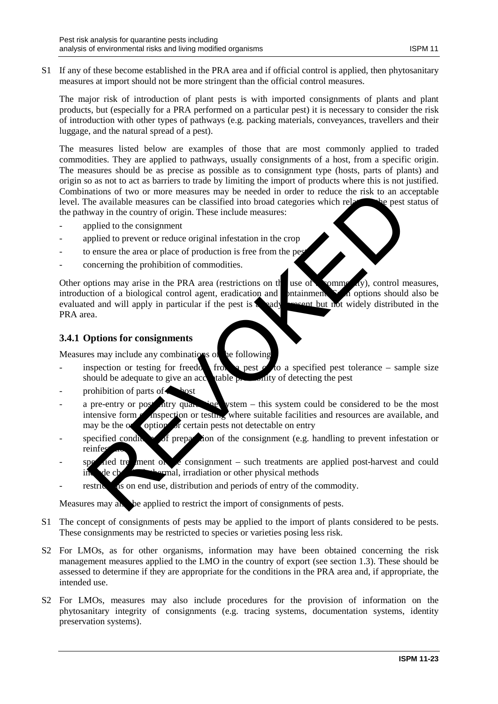S1 If any of these become established in the PRA area and if official control is applied, then phytosanitary measures at import should not be more stringent than the official control measures.

The major risk of introduction of plant pests is with imported consignments of plants and plant products, but (especially for a PRA performed on a particular pest) it is necessary to consider the risk of introduction with other types of pathways (e.g. packing materials, conveyances, travellers and their luggage, and the natural spread of a pest).

The measures listed below are examples of those that are most commonly applied to traded commodities. They are applied to pathways, usually consignments of a host, from a specific origin. The measures should be as precise as possible as to consignment type (hosts, parts of plants) and origin so as not to act as barriers to trade by limiting the import of products where this is not justified. Combinations of two or more measures may be needed in order to reduce the risk to an acceptable level. The available measures can be classified into broad categories which relates the pest status of the pathway in the country of origin. These include measures:

- applied to the consignment
- applied to prevent or reduce original infestation in the crop
- to ensure the area or place of production is free from the pes
- concerning the prohibition of commodities.

Other options may arise in the PRA area (restrictions on the use of commodally), control measures, introduction of a biological control agent, eradication and containment.  $\sum_{n=1}^{\infty}$  options should also be evaluated and will apply in particular if the pest is a ready present but not widely distributed in the PRA area.

### **3.4.1 Options for consignments**

Measures may include any combinations of the following

- inspection or testing for freedom from a pest  $\alpha$  to a specified pest tolerance sample size should be adequate to give an accordiable productive of detecting the pest should be adequate to give an acceptable probability of detecting the pest
- prohibition of parts of
- a pre-entry or post-htry quarantine vstem this system could be considered to be the most intensive form **on inspection** or testing where suitable facilities and resources are available, and may be the  $\alpha$  option of certain pests not detectable on entry antions of two or more measures may be needed in order to reduce the risk to an account the available measures can be classified into broad categories which relative the risk to an account the consignment ppiled to prevent
- specified conditions of preparation of the consignment (e.g. handling to prevent infestation or reinfe
- $\sum_{n=1}^{\infty}$  and treatment of  $\sum_{n=1}^{\infty}$  consignment such treatments are applied post-harvest and could include chemical, irradiation or other physical methods
- restrictions on end use, distribution and periods of entry of the commodity.

Measures may also be applied to restrict the import of consignments of pests.

- S1 The concept of consignments of pests may be applied to the import of plants considered to be pests. These consignments may be restricted to species or varieties posing less risk.
- S2 For LMOs, as for other organisms, information may have been obtained concerning the risk management measures applied to the LMO in the country of export (see section 1.3). These should be assessed to determine if they are appropriate for the conditions in the PRA area and, if appropriate, the intended use.
- S2 For LMOs, measures may also include procedures for the provision of information on the phytosanitary integrity of consignments (e.g. tracing systems, documentation systems, identity preservation systems).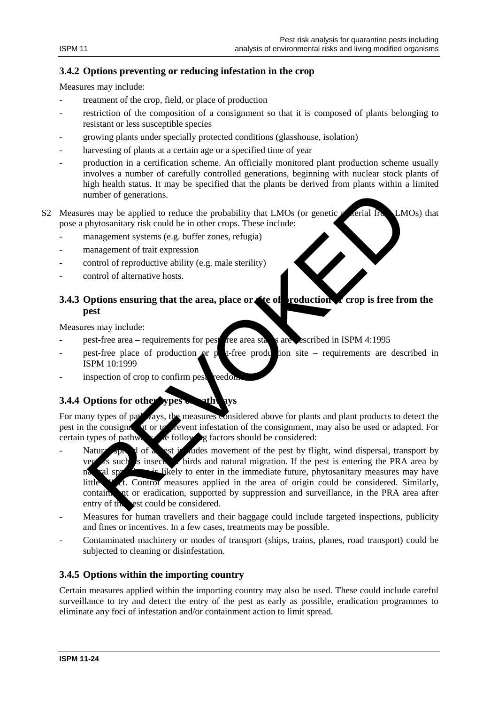## **3.4.2 Options preventing or reducing infestation in the crop**

Measures may include:

- treatment of the crop, field, or place of production
- restriction of the composition of a consignment so that it is composed of plants belonging to resistant or less susceptible species
- growing plants under specially protected conditions (glasshouse, isolation)
- harvesting of plants at a certain age or a specified time of year
- production in a certification scheme. An officially monitored plant production scheme usually involves a number of carefully controlled generations, beginning with nuclear stock plants of high health status. It may be specified that the plants be derived from plants within a limited number of generations.
- S2 Measures may be applied to reduce the probability that LMOs (or genetic material from LMOs) that pose a phytosanitary risk could be in other crops. These include:
	- management systems (e.g. buffer zones, refugia)
	- management of trait expression
	- control of reproductive ability (e.g. male sterility)
	- control of alternative hosts.

## **3.4.3 Options ensuring that the area, place or site of production or crop is free from the pest**

Measures may include:

- pest-free area requirements for pest-free area status are described in ISPM 4:1995
- pest-free place of production or pet-free production site requirements are described in ISPM 10:1999
- inspection of crop to confirm pest reedo.

## **3.4.4 Options for other**

For many types of pathways, the measures considered above for plants and plant products to detect the pest in the consignment of the consignment, may also be used or adapted. For pest in the consignment of the prevent infestation of the consignment, may also be used or adapted. For certain types of pathways, the following factors should be considered:

- Natural spread of a pest includes movement of the pest by flight, wind dispersal, transport by  $\epsilon$  is such as insects or birds and natural migration. If the pest is entering the PRA area by natural spread, is likely to enter in the immediate future, phytosanitary measures may have little  $\overline{t}$  of Control measures applied in the area of origin could be considered. Similarly, contain, at or eradication, supported by suppression and surveillance, in the PRA area after entry of the est could be considered. umber of generations.<br>
See may be applied to reduce the probability that LMOs (or genetic sciral Inc. LM<br>
hybytosainary risk could be in other rzones, refugia)<br>
management of trait expression<br>
management of trait expressio
- Measures for human travellers and their baggage could include targeted inspections, publicity and fines or incentives. In a few cases, treatments may be possible.
- Contaminated machinery or modes of transport (ships, trains, planes, road transport) could be subjected to cleaning or disinfestation.

## **3.4.5 Options within the importing country**

Certain measures applied within the importing country may also be used. These could include careful surveillance to try and detect the entry of the pest as early as possible, eradication programmes to eliminate any foci of infestation and/or containment action to limit spread.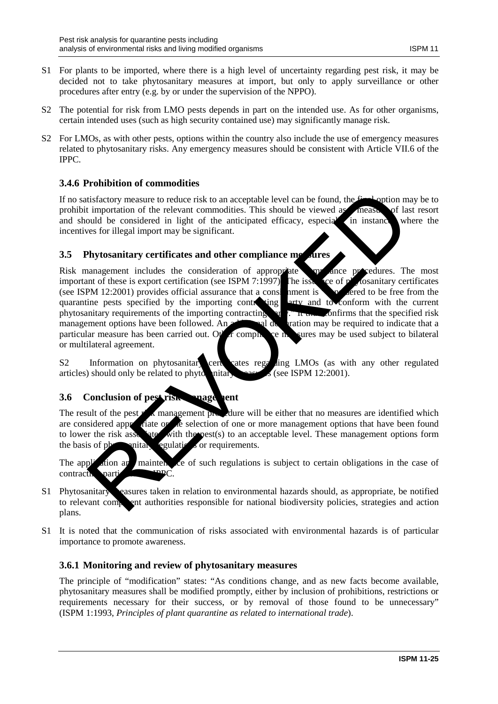- S1 For plants to be imported, where there is a high level of uncertainty regarding pest risk, it may be decided not to take phytosanitary measures at import, but only to apply surveillance or other procedures after entry (e.g. by or under the supervision of the NPPO).
- S2 The potential for risk from LMO pests depends in part on the intended use. As for other organisms, certain intended uses (such as high security contained use) may significantly manage risk.
- S2 For LMOs, as with other pests, options within the country also include the use of emergency measures related to phytosanitary risks. Any emergency measures should be consistent with Article VII.6 of the IPPC.

## **3.4.6 Prohibition of commodities**

If no satisfactory measure to reduce risk to an acceptable level can be found, the final option may be to prohibit importation of the relevant commodities. This should be viewed as **measure of last resort** and should be considered in light of the anticipated efficacy, especial in instance where the incentives for illegal import may be significant.

## **3.5 Phytosanitary certificates and other compliance measures**

Risk management includes the consideration of appropriate and ance procedures. The most important of these is export certification (see ISPM 7:1997). The issue  $\alpha$  ce of phytosanitary certificates (see ISPM 12:2001) provides official assurance that a considered to be free from the quarantine pests specified by the importing contracting party and to conform with the current phytosanitary requirements of the importing contracting party. It is confirms that the specified risk management options have been followed. An additional declaration may be required to indicate that a particular measure has been carried out. Other compliance in sures may be used subject to bilateral or multilateral agreement. distactory measure to reduce risk to an acceptable level can be found, the reaction of the relevant commutation. This should be viewed a measure of lavent commutation of the article in light of the anticipated efficacy, es

S2 Information on phytosanitary certificates regarding LMOs (as with any other regulated articles) should only be related to phytosanitary measures (see ISPM 12:2001).

## **3.6 Conclusion of pest risk management**

The result of the pest  $r$  is management procedure will be either that no measures are identified which are considered approximate or the selection of one or more management options that have been found<br>to lower the risk assessment with the posts of the approximate selection. These management options form ate with the pest(s) to an acceptable level. These management options form the basis of physicial regulations or requirements.

The application and maintenance of such regulations is subject to certain obligations in the case of contracting part

- S1 Phytosanitary easures taken in relation to environmental hazards should, as appropriate, be notified to relevant competent authorities responsible for national biodiversity policies, strategies and action plans.
- S1 It is noted that the communication of risks associated with environmental hazards is of particular importance to promote awareness.

## **3.6.1 Monitoring and review of phytosanitary measures**

The principle of "modification" states: "As conditions change, and as new facts become available, phytosanitary measures shall be modified promptly, either by inclusion of prohibitions, restrictions or requirements necessary for their success, or by removal of those found to be unnecessary" (ISPM 1:1993, *Principles of plant quarantine as related to international trade*).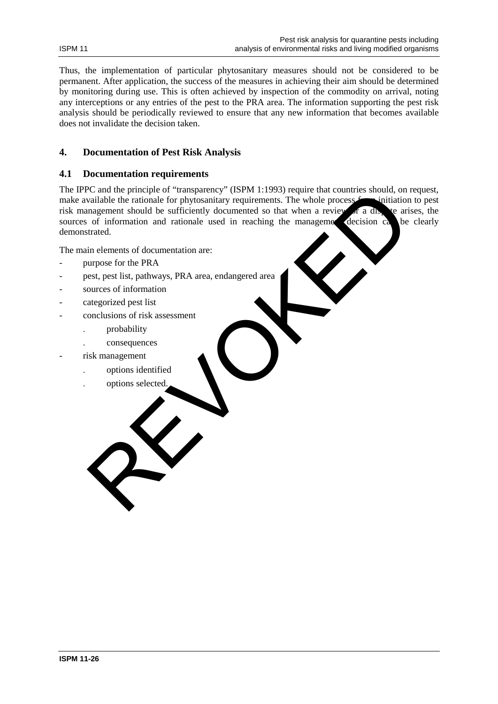Thus, the implementation of particular phytosanitary measures should not be considered to be permanent. After application, the success of the measures in achieving their aim should be determined by monitoring during use. This is often achieved by inspection of the commodity on arrival, noting any interceptions or any entries of the pest to the PRA area. The information supporting the pest risk analysis should be periodically reviewed to ensure that any new information that becomes available does not invalidate the decision taken.

## **4. Documentation of Pest Risk Analysis**

#### **4.1 Documentation requirements**

The IPPC and the principle of "transparency" (ISPM 1:1993) require that countries should, on request, make available the rationale for phytosanitary requirements. The whole process from initiation to pest risk management should be sufficiently documented so that when a review of a dispute arises, the sources of information and rationale used in reaching the management decision can be clearly sources of information and rationale used in reaching the management decision  $ca$  be clearly demonstrated. Ce and the principle of "transparency" (LSPM) it (1993) require that countries should, on<br>validable the rationale for phytosanitary requirements. The whole process simulation<br>magement should be sufficiently documented so t

The main elements of documentation are:

- purpose for the PRA
- pest, pest list, pathways, PRA area, endangered area
- sources of information
- categorized pest list
- conclusions of risk assessment
	- . probability
	- . consequences
- risk management
	- . options identified
	- . options selected.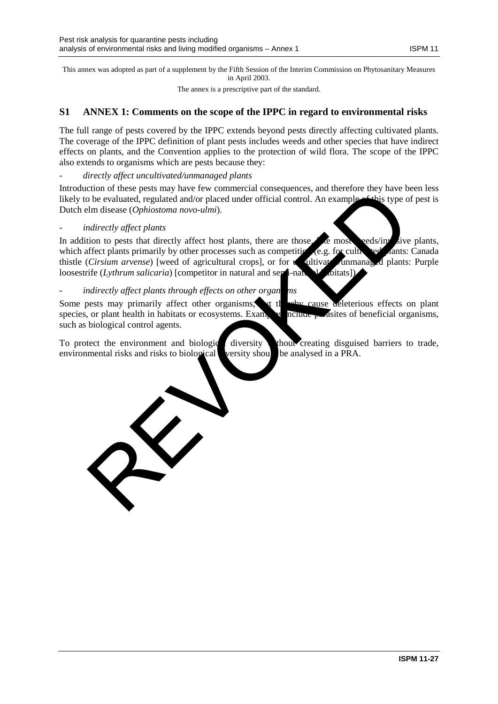This annex was adopted as part of a supplement by the Fifth Session of the Interim Commission on Phytosanitary Measures in April 2003.

The annex is a prescriptive part of the standard.

## **S1 ANNEX 1: Comments on the scope of the IPPC in regard to environmental risks**

The full range of pests covered by the IPPC extends beyond pests directly affecting cultivated plants. The coverage of the IPPC definition of plant pests includes weeds and other species that have indirect effects on plants, and the Convention applies to the protection of wild flora. The scope of the IPPC also extends to organisms which are pests because they:

#### - *directly affect uncultivated/unmanaged plants*

Introduction of these pests may have few commercial consequences, and therefore they have been less likely to be evaluated, regulated and/or placed under official control. An example of this type of pest is Dutch elm disease (*Ophiostoma novo-ulmi*).

#### - *indirectly affect plants*

In addition to pests that directly affect host plants, there are those, less weeds/invasive plants, which affect plants primarily by other processes such as competition (e.g. for cultivation and constant plants: Canada thistle (Cirsium arvense) [weed of agricultural crops], or for the ultivation numana and plants: Purple thistle (*Cirsium arvense*) [weed of agricultural crops], or for uncultivated loosestrife (*Lythrum salicaria*) [competitor in natural and semi-natural d<sup>1</sup> doitats] the business peak may have been during the contract consequences, and under the particular control and the control of the control of the control of the control of the control of the control of the control of the control of

### indirectly affect plants through effects on other organ<sup>ns</sup> ms

Some pests may primarily affect other organisms, but thereby cause deleterious effects on plant species, or plant health in habitats or ecosystems. Examples include  $\mu$  asites of beneficial organisms, such as biological control agents.

To protect the environment and biological diversity thout creating disguised barriers to trade, environmental risks and risks to biological versity should be analysed in a PRA.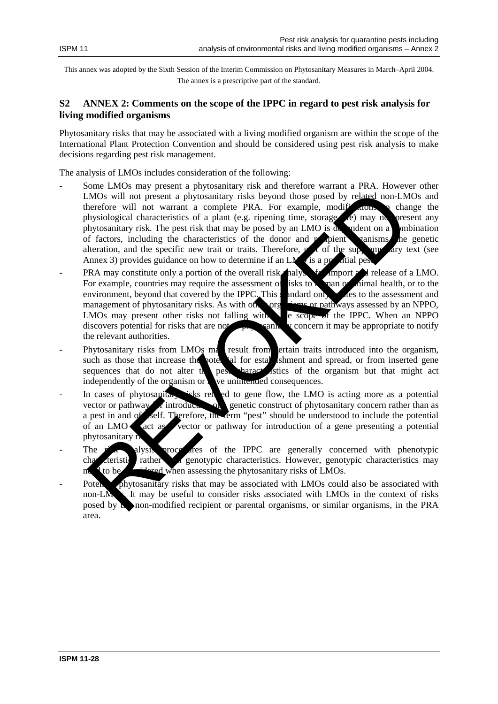This annex was adopted by the Sixth Session of the Interim Commission on Phytosanitary Measures in March–April 2004. The annex is a prescriptive part of the standard.

## **S2 ANNEX 2: Comments on the scope of the IPPC in regard to pest risk analysis for living modified organisms**

Phytosanitary risks that may be associated with a living modified organism are within the scope of the International Plant Protection Convention and should be considered using pest risk analysis to make decisions regarding pest risk management.

The analysis of LMOs includes consideration of the following:

- Some LMOs may present a phytosanitary risk and therefore warrant a PRA. However other LMOs will not present a phytosanitary risks beyond those posed by related non-LMOs and therefore will not warrant a complete PRA. For example, modifications to change the physiological characteristics of a plant (e.g. ripening time, storage  $\ell$ ) may no present any phytosanitary risk. The pest risk that may be posed by an LMO is  $\alpha$  and end a combination of factors, including the characteristics of the donor and  $r$  pient vanisms, the genetic alteration, and the specific new trait or traits. Therefore,  $p \neq 0$  of the supplementary text (see Annex 3) provides guidance on how to determine if an LM $\alpha$  is a potential per MOs will not present a phyosanitary risks beyond those posed by related non-LM<br>
herefore will not present a phyosanitary risks beyond those posed by related non-LM<br>
hysiological characteristics of a plant (e.g. ripe angle
- PRA may constitute only a portion of the overall risk halysis for import and release of a LMO. For example, countries may require the assessment of risks to human or animal health, or to the environment, beyond that covered by the IPPC. This standard only relates to the assessment and management of phytosanitary risks. As with other organisms or pathways assessed by an NPPO, LMOs may present other risks not falling with e scope of the IPPC. When an NPPO LMOs may present other risks not falling with  $\epsilon$  scope of the IPPC. When an NPPO discovers potential for risks that are not same v concern it may be appropriate to notify discovers potential for risks that are not  $\sim$  physicanic may be approximate to notify  $\sim$ the relevant authorities.
- Phytosanitary risks from LMOs may result from ertain traits introduced into the organism, such as those that increase the potential for establishment and spread, or from inserted gene sequences that do not alter the pest baracteristics of the organism but that might act independently of the organism or  $\mathbf k$  we unimended consequences.
- In cases of phytosanitary risks related to gene flow, the LMO is acting more as a potential vector or pathway  $\epsilon$  introduction of genetic construct of phytosanitary concern rather than as a pest in and of self. Therefore, the term "pest" should be understood to include the potential of an LMO sact as vector or pathway for introduction of a gene presenting a potential phytosanitary r
- The risk alysis procedures of the IPPC are generally concerned with phenotypic characteristic rather a genotypic characteristics. However, genotypic characteristics may to be considered when assessing the phytosanitary risks of LMOs.
- Potential phytosanitary risks that may be associated with LMOs could also be associated with non-LM $\blacksquare$  It may be useful to consider risks associated with LMOs in the context of risks posed by the non-modified recipient or parental organisms, or similar organisms, in the PRA area.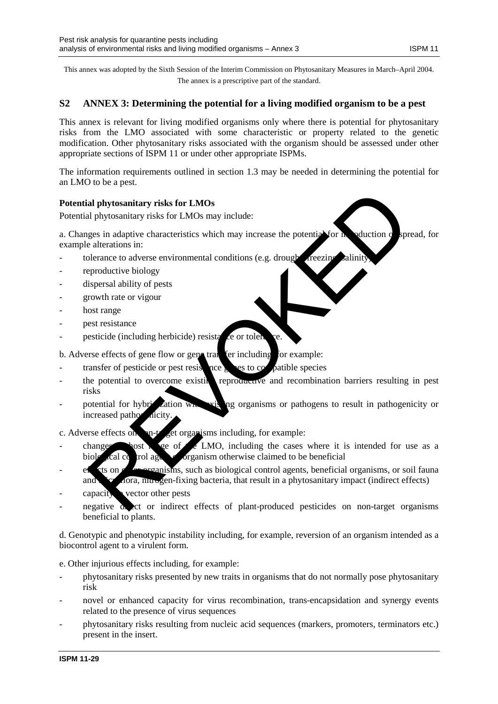This annex was adopted by the Sixth Session of the Interim Commission on Phytosanitary Measures in March–April 2004. The annex is a prescriptive part of the standard.

## **S2 ANNEX 3: Determining the potential for a living modified organism to be a pest**

This annex is relevant for living modified organisms only where there is potential for phytosanitary risks from the LMO associated with some characteristic or property related to the genetic modification. Other phytosanitary risks associated with the organism should be assessed under other appropriate sections of ISPM 11 or under other appropriate ISPMs.

The information requirements outlined in section 1.3 may be needed in determining the potential for an LMO to be a pest.

## **Potential phytosanitary risks for LMOs**

Potential phytosanitary risks for LMOs may include:

a. Changes in adaptive characteristics which may increase the potential for  $\bf{h}$  oduction  $\bf{o}$  spread, for example alterations in:

- $\alpha$  tolerance to adverse environmental conditions (e.g. drought, freezing, saling, saling, saling, saling, saling, saling,  $\alpha$
- reproductive biology
- dispersal ability of pests
- growth rate or vigour
- host range
- pest resistance
- pesticide (including herbicide) resistance or tolerance.

b. Adverse effects of gene flow or gene transfer including, for example:

- transfer of pesticide or pest resistance genes to compatible species
- the potential to overcome existing reproductive and recombination barriers resulting in pest risks al phytosanitary risks for LMOs<br>
al phytosanitary risks for LMOs<br>
may include:<br>
ges in adaptive characteristics which may increase the potential for a<br>
calterations in:<br>
calcerations in:<br>
calcerations in:<br>
calcerations in:
- potential for hybridization with existing organisms or pathogens to result in pathogenicity or increased pathog

c. Adverse effects on  $\mathbb{R}^n$ -target organisms including, for example:

- changes  $\bullet$  bost  $\bullet$  ge of  $\bullet$  LMO, including the cases where it is intended for use as a biological control agent organism otherwise claimed to be beneficial
- $e^{\frac{f}{c}}$  et organisms, such as biological control agents, beneficial organisms, or soil fauna and  $\mathbf{r}$  and  $\mathbf{r}$  and  $\mathbf{r}$  and  $\mathbf{r}$  and  $\mathbf{r}$  are fixing bacteria, that result in a phytosanitary impact (indirect effects)
- $\alpha$  capacity  $\alpha$  vector other pests
- $\alpha$  and  $\alpha$  and  $\alpha$  indirect effects of plant-produced pesticides on non-target organisms beneficial to plants.

d. Genotypic and phenotypic instability including, for example, reversion of an organism intended as a biocontrol agent to a virulent form.

e. Other injurious effects including, for example:

- phytosanitary risks presented by new traits in organisms that do not normally pose phytosanitary risk
- novel or enhanced capacity for virus recombination, trans-encapsidation and synergy events related to the presence of virus sequences
- phytosanitary risks resulting from nucleic acid sequences (markers, promoters, terminators etc.) present in the insert.